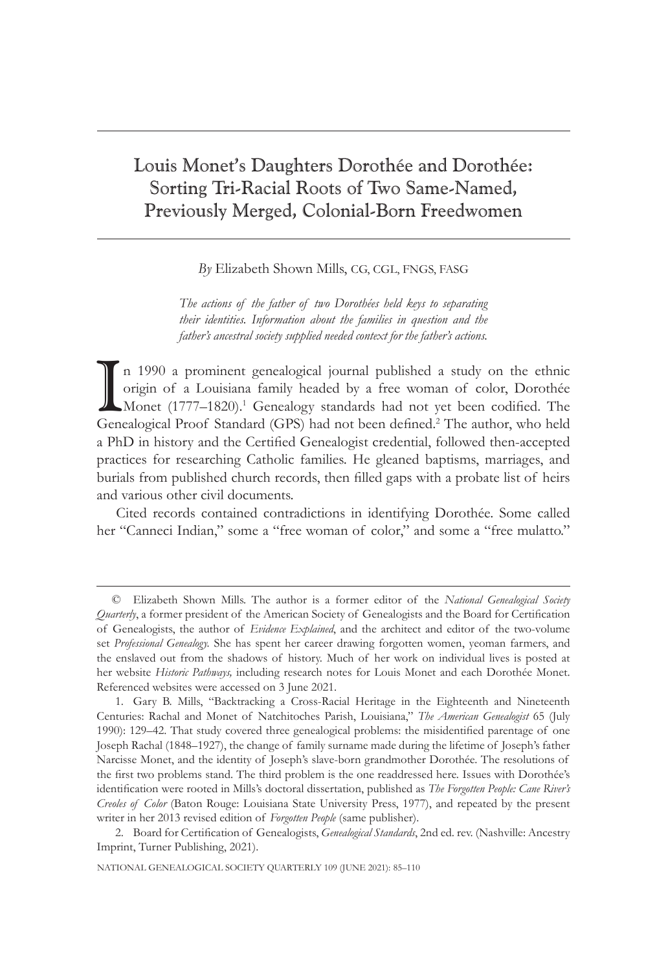# Louis Monet's Daughters Dorothée and Dorothée: Sorting Tri-Racial Roots of Two Same-Named, Previously Merged, Colonial-Born Freedwomen

## *By* Elizabeth Shown Mills, CG, CGL, FNGS, FASG

*The actions of the father of two Dorothées held keys to separating their identities. Information about the families in question and the father's ancestral society supplied needed context for the father's actions.*

In 1990 a prominent genealogical journal published a study on the ethnic origin of a Louisiana family headed by a free woman of color, Dorothée Monet (1777–1820).<sup>1</sup> Genealogy standards had not yet been codified. The Genea n 1990 a prominent genealogical journal published a study on the ethnic origin of a Louisiana family headed by a free woman of color, Dorothée Monet (1777–1820).<sup>1</sup> Genealogy standards had not yet been codified. The a PhD in history and the Certified Genealogist credential, followed then-accepted practices for researching Catholic families. He gleaned baptisms, marriages, and burials from published church records, then filled gaps with a probate list of heirs and various other civil documents.

Cited records contained contradictions in identifying Dorothée. Some called her "Canneci Indian," some a "free woman of color," and some a "free mulatto."

<sup>©</sup> Elizabeth Shown Mills. The author is a former editor of the *National Genealogical Society Quarterly*, a former president of the American Society of Genealogists and the Board for Certification of Genealogists, the author of *Evidence Explained*, and the architect and editor of the two-volume set *Professional Genealogy.* She has spent her career drawing forgotten women, yeoman farmers, and the enslaved out from the shadows of history. Much of her work on individual lives is posted at her website *Historic Pathways,* including research notes for Louis Monet and each Dorothée Monet. Referenced websites were accessed on 3 June 2021.

<sup>1.</sup> Gary B. Mills, "Backtracking a Cross-Racial Heritage in the Eighteenth and Nineteenth Centuries: Rachal and Monet of Natchitoches Parish, Louisiana," *The American Genealogist* 65 (July 1990): 129–42. That study covered three genealogical problems: the misidentified parentage of one Joseph Rachal (1848–1927), the change of family surname made during the lifetime of Joseph's father Narcisse Monet, and the identity of Joseph's slave-born grandmother Dorothée. The resolutions of the first two problems stand. The third problem is the one readdressed here. Issues with Dorothée's identification were rooted in Mills's doctoral dissertation, published as *The Forgotten People: Cane River's Creoles of Color* (Baton Rouge: Louisiana State University Press, 1977), and repeated by the present writer in her 2013 revised edition of *Forgotten People* (same publisher).

<sup>2.</sup> Board for Certification of Genealogists, *Genealogical Standards*, 2nd ed. rev. (Nashville: Ancestry Imprint, Turner Publishing, 2021).

NATIONAL GENEALOGICAL SOCIETY QUARTERLY 109 (JUNE 2021): 85–110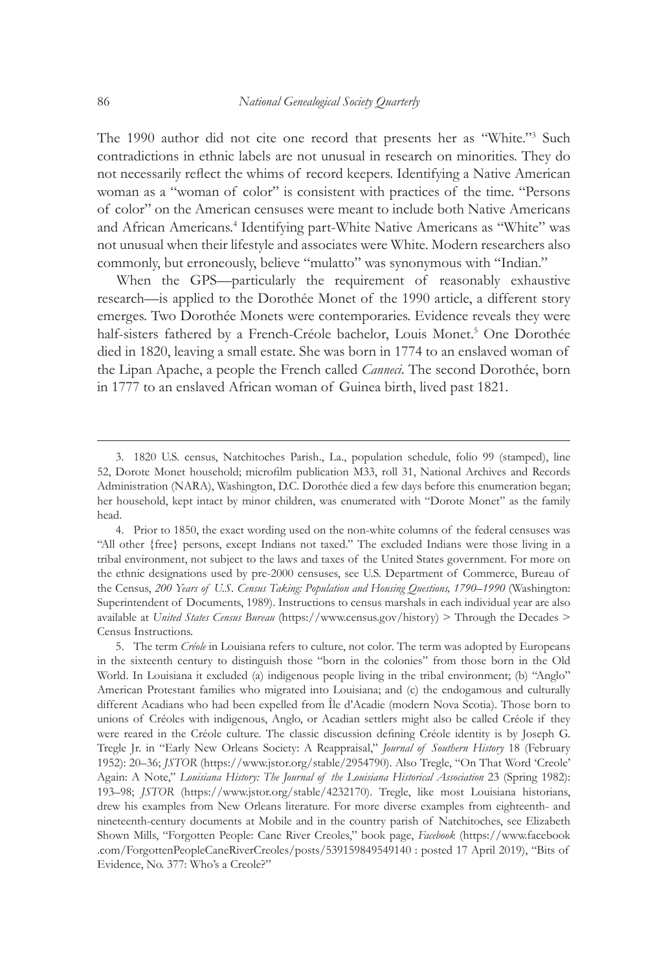The 1990 author did not cite one record that presents her as "White."<sup>3</sup> Such contradictions in ethnic labels are not unusual in research on minorities. They do not necessarily reflect the whims of record keepers. Identifying a Native American woman as a "woman of color" is consistent with practices of the time. "Persons of color" on the American censuses were meant to include both Native Americans and African Americans.<sup>4</sup> Identifying part-White Native Americans as "White" was not unusual when their lifestyle and associates were White. Modern researchers also commonly, but erroneously, believe "mulatto" was synonymous with "Indian."

When the GPS—particularly the requirement of reasonably exhaustive research—is applied to the Dorothée Monet of the 1990 article, a different story emerges. Two Dorothée Monets were contemporaries. Evidence reveals they were half-sisters fathered by a French-Créole bachelor, Louis Monet.<sup>5</sup> One Dorothée died in 1820, leaving a small estate. She was born in 1774 to an enslaved woman of the Lipan Apache, a people the French called *Canneci*. The second Dorothée, born in 1777 to an enslaved African woman of Guinea birth, lived past 1821.

<sup>3.</sup> 1820 U.S. census, Natchitoches Parish., La., population schedule, folio 99 (stamped), line 52, Dorote Monet household; microfilm publication M33, roll 31, National Archives and Records Administration (NARA), Washington, D.C. Dorothée died a few days before this enumeration began; her household, kept intact by minor children, was enumerated with "Dorote Monet" as the family head.

<sup>4.</sup> Prior to 1850, the exact wording used on the non-white columns of the federal censuses was "All other {free} persons, except Indians not taxed." The excluded Indians were those living in a tribal environment, not subject to the laws and taxes of the United States government. For more on the ethnic designations used by pre-2000 censuses, see U.S. Department of Commerce, Bureau of the Census, *200 Years of U.S. Census Taking: Population and Housing Questions, 1790–1990* (Washington: Superintendent of Documents, 1989). Instructions to census marshals in each individual year are also available at *United States Census Bureau* (https://www.census.gov/history) > Through the Decades > Census Instructions.

<sup>5.</sup> The term *Créole* in Louisiana refers to culture, not color*.* The term was adopted by Europeans in the sixteenth century to distinguish those "born in the colonies" from those born in the Old World. In Louisiana it excluded (a) indigenous people living in the tribal environment; (b) "Anglo" American Protestant families who migrated into Louisiana; and (c) the endogamous and culturally different Acadians who had been expelled from Île d'Acadie (modern Nova Scotia). Those born to unions of Créoles with indigenous, Anglo, or Acadian settlers might also be called Créole if they were reared in the Créole culture. The classic discussion defining Créole identity is by Joseph G. Tregle Jr. in "Early New Orleans Society: A Reappraisal," *Journal of Southern History* 18 (February 1952): 20–36; *JSTOR* (https://www.jstor.org/stable/2954790). Also Tregle, "On That Word 'Creole' Again: A Note," *Louisiana History: The Journal of the Louisiana Historical Association* 23 (Spring 1982): 193–98; *JSTOR* (https://www.jstor.org/stable/4232170). Tregle, like most Louisiana historians, drew his examples from New Orleans literature. For more diverse examples from eighteenth- and nineteenth-century documents at Mobile and in the country parish of Natchitoches, see Elizabeth Shown Mills, "Forgotten People: Cane River Creoles," book page, *Facebook* (https://www.facebook .com/ForgottenPeopleCaneRiverCreoles/posts/539159849549140 : posted 17 April 2019), "Bits of Evidence, No. 377: Who's a Creole?"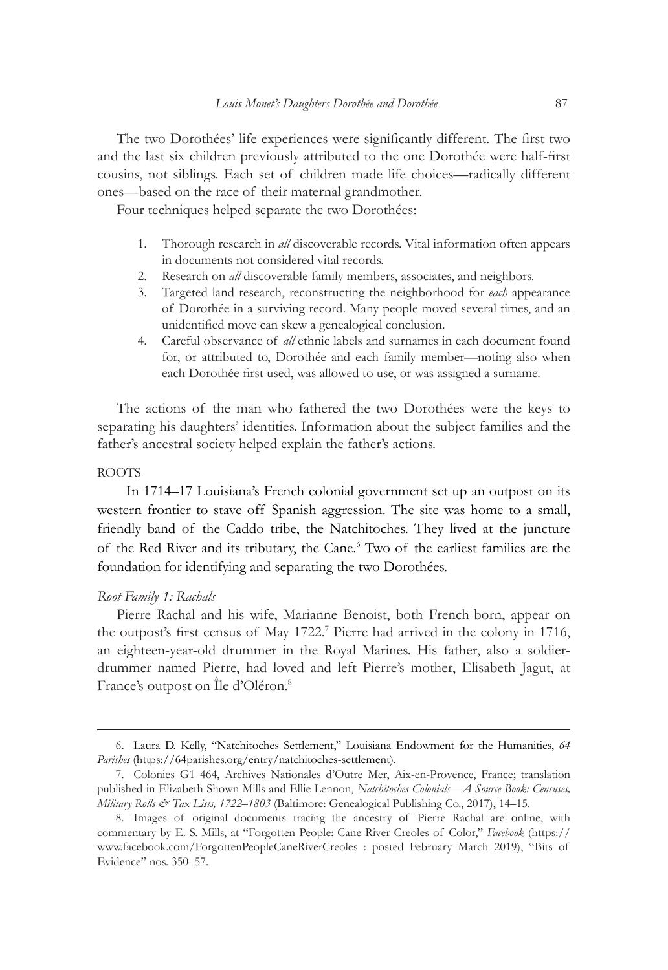The two Dorothées' life experiences were significantly different. The first two and the last six children previously attributed to the one Dorothée were half-first cousins, not siblings. Each set of children made life choices—radically different ones—based on the race of their maternal grandmother.

Four techniques helped separate the two Dorothées:

- 1. Thorough research in *all* discoverable records. Vital information often appears in documents not considered vital records.
- 2. Research on *all* discoverable family members, associates, and neighbors.
- 3. Targeted land research, reconstructing the neighborhood for *each* appearance of Dorothée in a surviving record. Many people moved several times, and an unidentified move can skew a genealogical conclusion.
- 4. Careful observance of *all* ethnic labels and surnames in each document found for, or attributed to, Dorothée and each family member—noting also when each Dorothée first used, was allowed to use, or was assigned a surname.

The actions of the man who fathered the two Dorothées were the keys to separating his daughters' identities. Information about the subject families and the father's ancestral society helped explain the father's actions.

#### ROOTS

In 1714–17 Louisiana's French colonial government set up an outpost on its western frontier to stave off Spanish aggression. The site was home to a small, friendly band of the Caddo tribe, the Natchitoches. They lived at the juncture of the Red River and its tributary, the Cane.<sup>6</sup> Two of the earliest families are the foundation for identifying and separating the two Dorothées.

#### *Root Family 1: Rachals*

Pierre Rachal and his wife, Marianne Benoist, both French-born, appear on the outpost's first census of May 1722.<sup>7</sup> Pierre had arrived in the colony in 1716, an eighteen-year-old drummer in the Royal Marines. His father, also a soldierdrummer named Pierre, had loved and left Pierre's mother, Elisabeth Jagut, at France's outpost on Île d'Oléron.<sup>8</sup>

<sup>6.</sup> Laura D. Kelly, "Natchitoches Settlement," Louisiana Endowment for the Humanities, *64 Parishes* (https://64parishes.org/entry/natchitoches-settlement).

<sup>7.</sup> Colonies G1 464, Archives Nationales d'Outre Mer, Aix-en-Provence, France; translation published in Elizabeth Shown Mills and Ellie Lennon, *Natchitoches Colonials—A Source Book: Censuses, Military Rolls & Tax Lists, 1722–1803* (Baltimore: Genealogical Publishing Co., 2017), 14–15.

<sup>8.</sup> Images of original documents tracing the ancestry of Pierre Rachal are online, with commentary by E. S. Mills, at "Forgotten People: Cane River Creoles of Color," *Facebook* (https:// www.facebook.com/ForgottenPeopleCaneRiverCreoles : posted February–March 2019), "Bits of Evidence" nos. 350–57.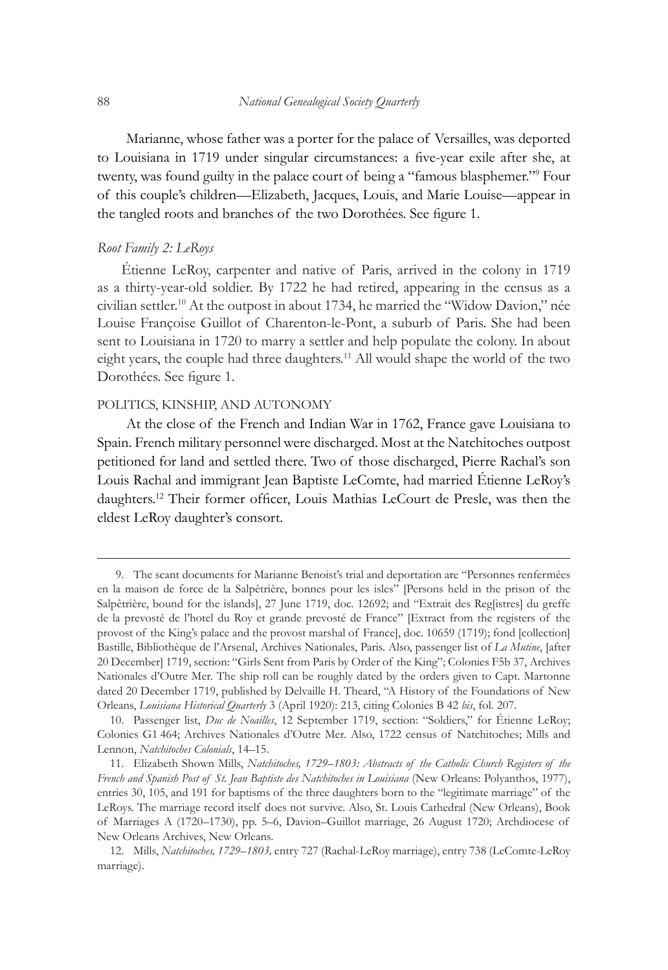Marianne, whose father was a porter for the palace of Versailles, was deported to Louisiana in 1719 under singular circumstances: a five-year exile after she, at twenty, was found guilty in the palace court of being a "famous blasphemer."<sup>9</sup> Four of this couple's children—Elizabeth, Jacques, Louis, and Marie Louise—appear in the tangled roots and branches of the two Dorothées. See figure 1.

## *Root Family 2: LeRoys*

Étienne LeRoy, carpenter and native of Paris, arrived in the colony in 1719 as a thirty-year-old soldier. By 1722 he had retired, appearing in the census as a civilian settler.10 At the outpost in about 1734, he married the "Widow Davion," née Louise Françoise Guillot of Charenton-le-Pont, a suburb of Paris. She had been sent to Louisiana in 1720 to marry a settler and help populate the colony. In about eight years, the couple had three daughters.<sup>11</sup> All would shape the world of the two Dorothées. See figure 1.

## POLITICS, KINSHIP, AND AUTONOMY

At the close of the French and Indian War in 1762, France gave Louisiana to Spain. French military personnel were discharged. Most at the Natchitoches outpost petitioned for land and settled there. Two of those discharged, Pierre Rachal's son Louis Rachal and immigrant Jean Baptiste LeComte, had married Étienne LeRoy's daughters.12 Their former officer, Louis Mathias LeCourt de Presle, was then the eldest LeRoy daughter's consort.

<sup>9.</sup> The scant documents for Marianne Benoist's trial and deportation are "Personnes renfermées en la maison de force de la Salpêtrière, bonnes pour les isles" [Persons held in the prison of the Salpêtrière, bound for the islands], 27 June 1719, doc. 12692; and "Extrait des Reg[istres] du greffe de la prevosté de l'hotel du Roy et grande prevosté de France" [Extract from the registers of the provost of the King's palace and the provost marshal of France], doc. 10659 (1719); fond [collection] Bastille, Bibliothèque de l'Arsenal, Archives Nationales, Paris. Also, passenger list of *La Mutine*, [after 20 December] 1719, section: "Girls Sent from Paris by Order of the King"; Colonies F5b 37, Archives Nationales d'Outre Mer. The ship roll can be roughly dated by the orders given to Capt. Martonne dated 20 December 1719, published by Delvaille H. Theard, "A History of the Foundations of New Orleans, *Louisiana Historical Quarterly* 3 (April 1920): 213, citing Colonies B 42 *bis*, fol. 207.

<sup>10.</sup> Passenger list, *Duc de Noailles*, 12 September 1719, section: "Soldiers," for Étienne LeRoy; Colonies G1 464; Archives Nationales d'Outre Mer. Also, 1722 census of Natchitoches; Mills and Lennon, *Natchitoches Colonials*, 14–15.

<sup>11.</sup> Elizabeth Shown Mills, *Natchitoches, 1729–1803: Abstracts of the Catholic Church Registers of the French and Spanish Post of St. Jean Baptiste des Natchitoches in Louisiana* (New Orleans: Polyanthos, 1977), entries 30, 105, and 191 for baptisms of the three daughters born to the "legitimate marriage" of the LeRoys. The marriage record itself does not survive. Also, St. Louis Cathedral (New Orleans), Book of Marriages A (1720–1730), pp. 5–6, Davion–Guillot marriage, 26 August 1720; Archdiocese of New Orleans Archives, New Orleans.

<sup>12.</sup> Mills, *Natchitoches, 1729–1803,* entry 727 (Rachal-LeRoy marriage), entry 738 (LeComte-LeRoy marriage).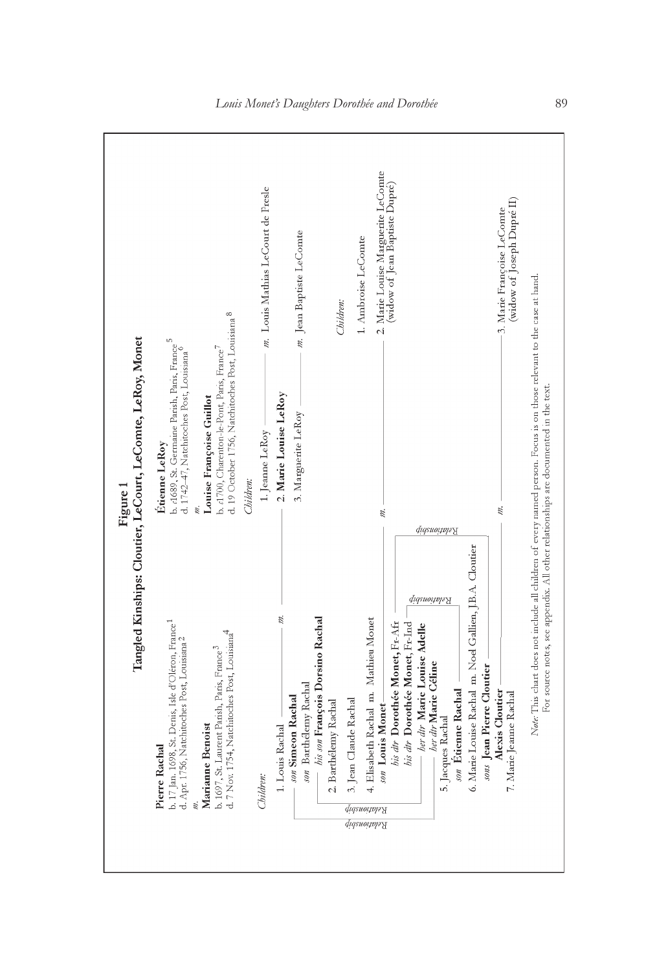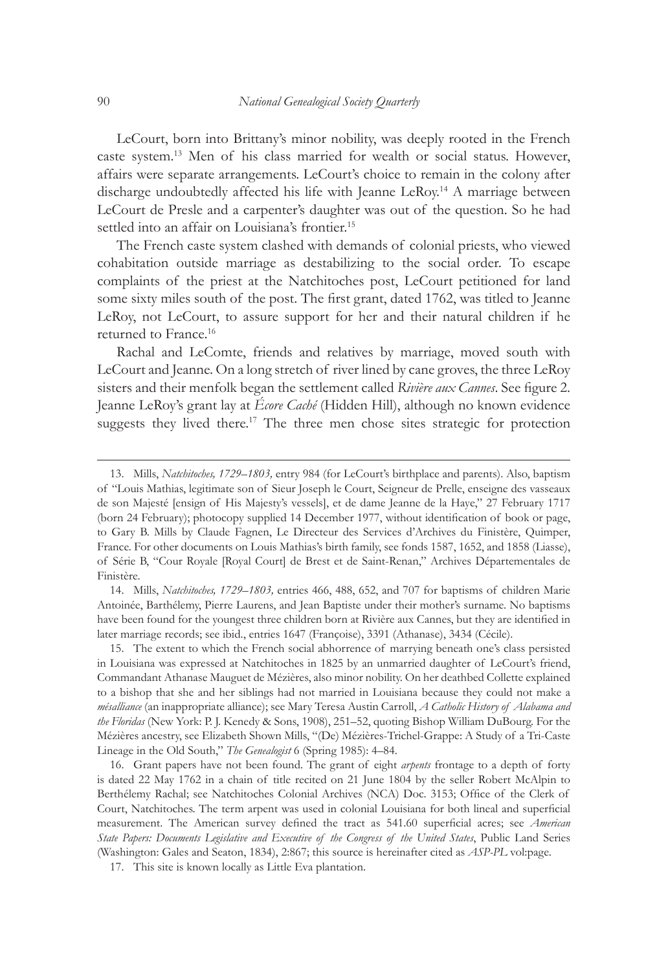LeCourt, born into Brittany's minor nobility, was deeply rooted in the French caste system.13 Men of his class married for wealth or social status. However, affairs were separate arrangements. LeCourt's choice to remain in the colony after discharge undoubtedly affected his life with Jeanne LeRoy.14 A marriage between LeCourt de Presle and a carpenter's daughter was out of the question. So he had settled into an affair on Louisiana's frontier.<sup>15</sup>

The French caste system clashed with demands of colonial priests, who viewed cohabitation outside marriage as destabilizing to the social order. To escape complaints of the priest at the Natchitoches post, LeCourt petitioned for land some sixty miles south of the post. The first grant, dated 1762, was titled to Jeanne LeRoy, not LeCourt, to assure support for her and their natural children if he returned to France.<sup>16</sup>

Rachal and LeComte, friends and relatives by marriage, moved south with LeCourt and Jeanne. On a long stretch of river lined by cane groves, the three LeRoy sisters and their menfolk began the settlement called *Rivière aux Cannes*. See figure 2. Jeanne LeRoy's grant lay at *Écore Caché* (Hidden Hill), although no known evidence suggests they lived there.<sup>17</sup> The three men chose sites strategic for protection

14. Mills, *Natchitoches, 1729–1803,* entries 466, 488, 652, and 707 for baptisms of children Marie Antoinée, Barthélemy, Pierre Laurens, and Jean Baptiste under their mother's surname. No baptisms have been found for the youngest three children born at Rivière aux Cannes, but they are identified in later marriage records; see ibid., entries 1647 (Françoise), 3391 (Athanase), 3434 (Cécile).

15. The extent to which the French social abhorrence of marrying beneath one's class persisted in Louisiana was expressed at Natchitoches in 1825 by an unmarried daughter of LeCourt's friend, Commandant Athanase Mauguet de Mézières, also minor nobility. On her deathbed Collette explained to a bishop that she and her siblings had not married in Louisiana because they could not make a *mésalliance* (an inappropriate alliance); see Mary Teresa Austin Carroll, *A Catholic History of Alabama and the Floridas* (New York: P. J. Kenedy & Sons, 1908), 251–52, quoting Bishop William DuBourg. For the Mézières ancestry, see Elizabeth Shown Mills, "(De) Mézières-Trichel-Grappe: A Study of a Tri-Caste Lineage in the Old South," *The Genealogist* 6 (Spring 1985): 4–84.

16. Grant papers have not been found. The grant of eight *arpents* frontage to a depth of forty is dated 22 May 1762 in a chain of title recited on 21 June 1804 by the seller Robert McAlpin to Berthélemy Rachal; see Natchitoches Colonial Archives (NCA) Doc. 3153; Office of the Clerk of Court, Natchitoches. The term arpent was used in colonial Louisiana for both lineal and superficial measurement. The American survey defined the tract as 541.60 superficial acres; see *American State Papers: Documents Legislative and Executive of the Congress of the United States*, Public Land Series (Washington: Gales and Seaton, 1834), 2:867; this source is hereinafter cited as *ASP-PL* vol:page.

17. This site is known locally as Little Eva plantation.

<sup>13.</sup> Mills, *Natchitoches, 1729–1803,* entry 984 (for LeCourt's birthplace and parents). Also, baptism of "Louis Mathias, legitimate son of Sieur Joseph le Court, Seigneur de Prelle, enseigne des vasseaux de son Majesté [ensign of His Majesty's vessels], et de dame Jeanne de la Haye," 27 February 1717 (born 24 February); photocopy supplied 14 December 1977, without identification of book or page, to Gary B. Mills by Claude Fagnen, Le Directeur des Services d'Archives du Finistère, Quimper, France. For other documents on Louis Mathias's birth family, see fonds 1587, 1652, and 1858 (Liasse), of Série B, "Cour Royale [Royal Court] de Brest et de Saint-Renan," Archives Départementales de Finistère.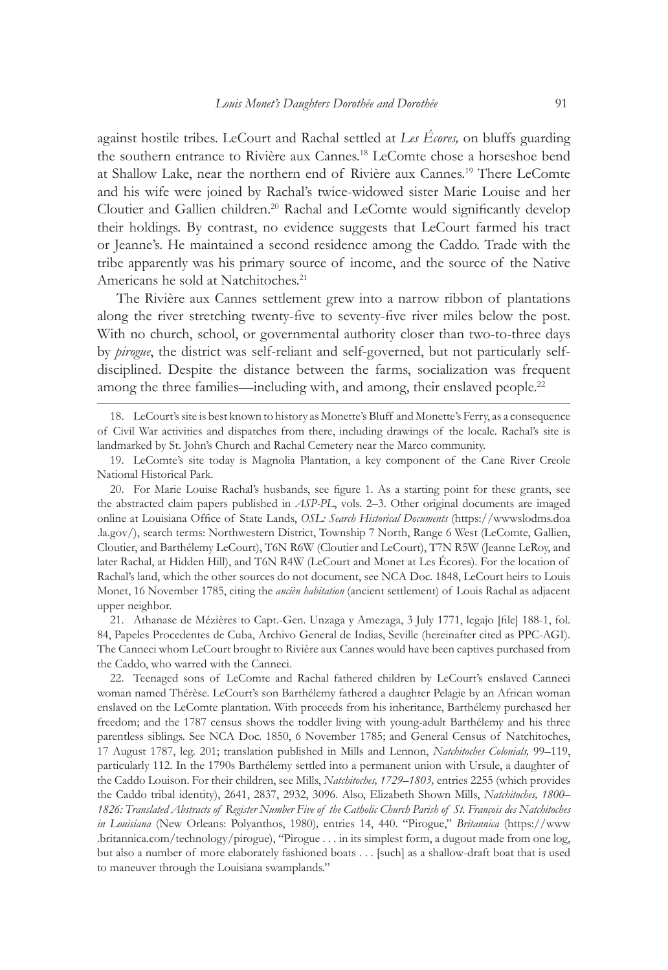against hostile tribes. LeCourt and Rachal settled at *Les Écores,* on bluffs guarding the southern entrance to Rivière aux Cannes.18 LeComte chose a horseshoe bend at Shallow Lake, near the northern end of Rivière aux Cannes.19 There LeComte and his wife were joined by Rachal's twice-widowed sister Marie Louise and her Cloutier and Gallien children.20 Rachal and LeComte would significantly develop their holdings. By contrast, no evidence suggests that LeCourt farmed his tract or Jeanne's. He maintained a second residence among the Caddo. Trade with the tribe apparently was his primary source of income, and the source of the Native Americans he sold at Natchitoches.<sup>21</sup>

The Rivière aux Cannes settlement grew into a narrow ribbon of plantations along the river stretching twenty-five to seventy-five river miles below the post. With no church, school, or governmental authority closer than two-to-three days by *pirogue*, the district was self-reliant and self-governed, but not particularly selfdisciplined. Despite the distance between the farms, socialization was frequent among the three families—including with, and among, their enslaved people.<sup>22</sup>

18. LeCourt's site is best known to history as Monette's Bluff and Monette's Ferry, as a consequence of Civil War activities and dispatches from there, including drawings of the locale. Rachal's site is landmarked by St. John's Church and Rachal Cemetery near the Marco community.

20. For Marie Louise Rachal's husbands, see figure 1. As a starting point for these grants, see the abstracted claim papers published in *ASP-PL*, vols. 2–3. Other original documents are imaged online at Louisiana Office of State Lands, *OSL: Search Historical Documents* (https://wwwslodms.doa .la.gov/), search terms: Northwestern District, Township 7 North, Range 6 West (LeComte, Gallien, Cloutier, and Barthélemy LeCourt), T6N R6W (Cloutier and LeCourt), T7N R5W (Jeanne LeRoy, and later Rachal, at Hidden Hill), and T6N R4W (LeCourt and Monet at Les Écores). For the location of Rachal's land, which the other sources do not document, see NCA Doc. 1848, LeCourt heirs to Louis Monet, 16 November 1785, citing the *ancièn habitation* (ancient settlement) of Louis Rachal as adjacent upper neighbor.

21. Athanase de Mézières to Capt.-Gen. Unzaga y Amezaga, 3 July 1771, legajo [file] 188-1, fol. 84, Papeles Procedentes de Cuba, Archivo General de Indias, Seville (hereinafter cited as PPC-AGI). The Canneci whom LeCourt brought to Rivière aux Cannes would have been captives purchased from the Caddo, who warred with the Canneci.

22. Teenaged sons of LeComte and Rachal fathered children by LeCourt's enslaved Canneci woman named Thérèse. LeCourt's son Barthélemy fathered a daughter Pelagie by an African woman enslaved on the LeComte plantation. With proceeds from his inheritance, Barthélemy purchased her freedom; and the 1787 census shows the toddler living with young-adult Barthélemy and his three parentless siblings. See NCA Doc. 1850, 6 November 1785; and General Census of Natchitoches, 17 August 1787, leg. 201; translation published in Mills and Lennon, *Natchitoches Colonials,* 99–119, particularly 112. In the 1790s Barthélemy settled into a permanent union with Ursule, a daughter of the Caddo Louison. For their children, see Mills, *Natchitoches, 1729–1803,* entries 2255 (which provides the Caddo tribal identity), 2641, 2837, 2932, 3096. Also, Elizabeth Shown Mills, *Natchitoches, 1800– 1826: Translated Abstracts of Register Number Five of the Catholic Church Parish of St. François des Natchitoches in Louisiana* (New Orleans: Polyanthos, 1980)*,* entries 14, 440. "Pirogue," *Britannica* (https://www .britannica.com/technology/pirogue), "Pirogue . . . in its simplest form, a dugout made from one log, but also a number of more elaborately fashioned boats . . . [such] as a shallow-draft boat that is used to maneuver through the Louisiana swamplands."

<sup>19.</sup> LeComte's site today is Magnolia Plantation, a key component of the Cane River Creole National Historical Park.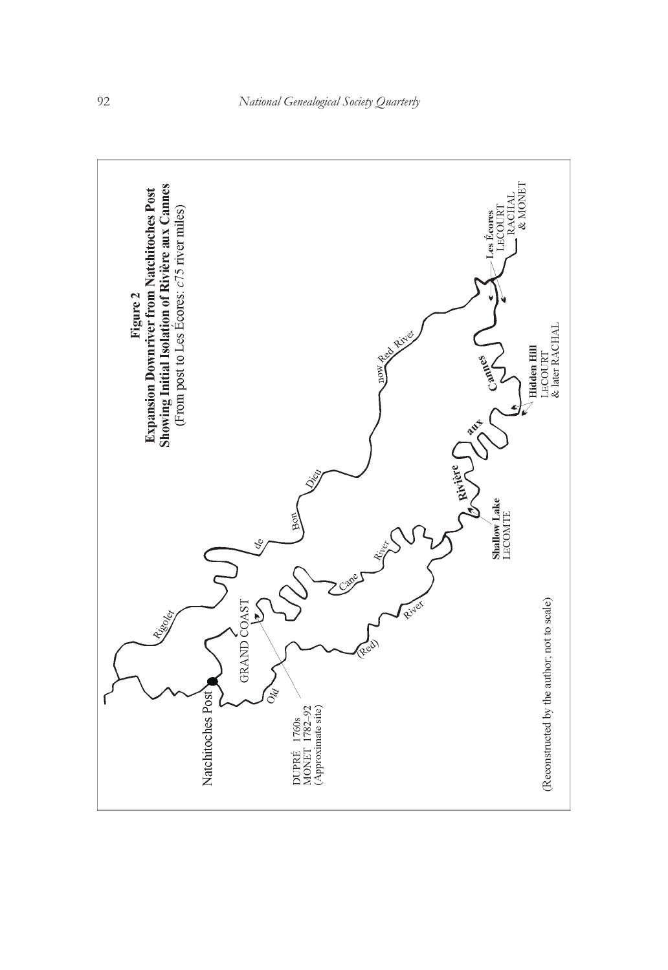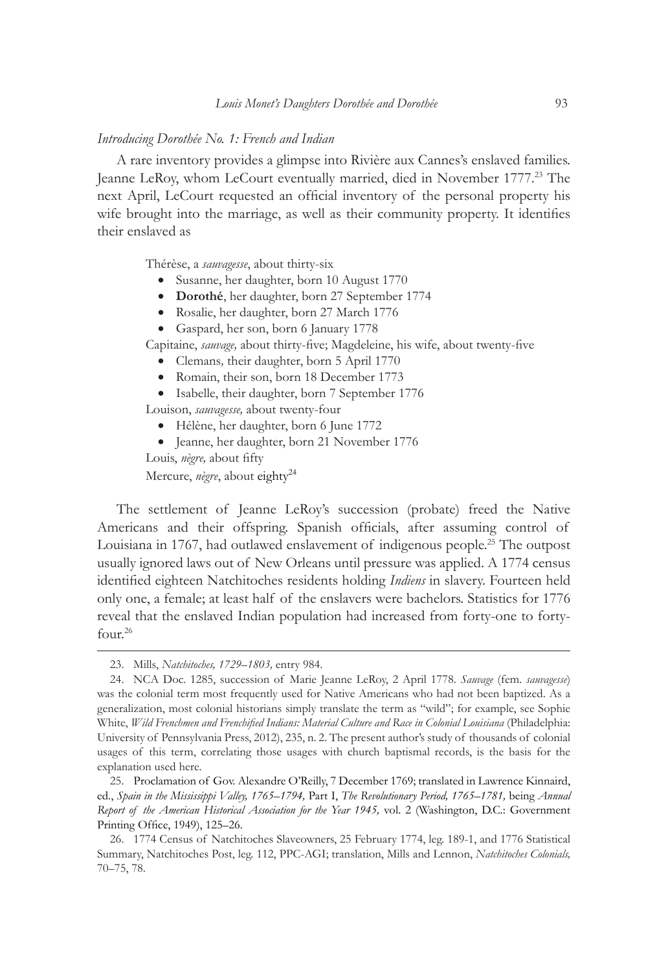#### *Introducing Dorothée No. 1: French and Indian*

A rare inventory provides a glimpse into Rivière aux Cannes's enslaved families. Jeanne LeRoy, whom LeCourt eventually married, died in November 1777.<sup>23</sup> The next April, LeCourt requested an official inventory of the personal property his wife brought into the marriage, as well as their community property. It identifies their enslaved as

Thérèse, a *sauvagesse*, about thirty-six

- • Susanne, her daughter, born 10 August 1770
- • **Dorothé**, her daughter, born 27 September 1774
- • Rosalie, her daughter, born 27 March 1776
- • Gaspard, her son, born 6 January 1778

Capitaine, *sauvage,* about thirty-five; Magdeleine, his wife, about twenty-five

- • Clemans*,* their daughter, born 5 April 1770
- • Romain, their son, born 18 December 1773
- • Isabelle, their daughter, born 7 September 1776

Louison, *sauvagesse,* about twenty-four

- • Hélène, her daughter, born 6 June 1772
- • Jeanne, her daughter, born 21 November 1776

Louis, *nègre,* about fifty

Mercure, *nègre*, about eighty<sup>24</sup>

The settlement of Jeanne LeRoy's succession (probate) freed the Native Americans and their offspring. Spanish officials, after assuming control of Louisiana in 1767, had outlawed enslavement of indigenous people.<sup>25</sup> The outpost usually ignored laws out of New Orleans until pressure was applied. A 1774 census identified eighteen Natchitoches residents holding *Indiens* in slavery. Fourteen held only one, a female; at least half of the enslavers were bachelors. Statistics for 1776 reveal that the enslaved Indian population had increased from forty-one to fortyfour.<sup>26</sup>

<sup>23.</sup> Mills, *Natchitoches, 1729–1803,* entry 984.

<sup>24.</sup> NCA Doc. 1285, succession of Marie Jeanne LeRoy, 2 April 1778. *Sauvage* (fem. *sauvagesse*) was the colonial term most frequently used for Native Americans who had not been baptized. As a generalization, most colonial historians simply translate the term as "wild"; for example, see Sophie White, *Wild Frenchmen and Frenchified Indians: Material Culture and Race in Colonial Louisiana* (Philadelphia: University of Pennsylvania Press, 2012), 235, n. 2. The present author's study of thousands of colonial usages of this term, correlating those usages with church baptismal records, is the basis for the explanation used here.

<sup>25.</sup> Proclamation of Gov. Alexandre O'Reilly, 7 December 1769; translated in Lawrence Kinnaird, ed., *Spain in the Mississippi Valley, 1765–1794,* Part I, *The Revolutionary Period, 1765–1781,* being *Annual Report of the American Historical Association for the Year 1945,* vol. 2 (Washington, D.C.: Government Printing Office, 1949), 125–26.

<sup>26.</sup> 1774 Census of Natchitoches Slaveowners, 25 February 1774, leg. 189-1, and 1776 Statistical Summary, Natchitoches Post, leg. 112, PPC-AGI; translation, Mills and Lennon, *Natchitoches Colonials,* 70–75, 78.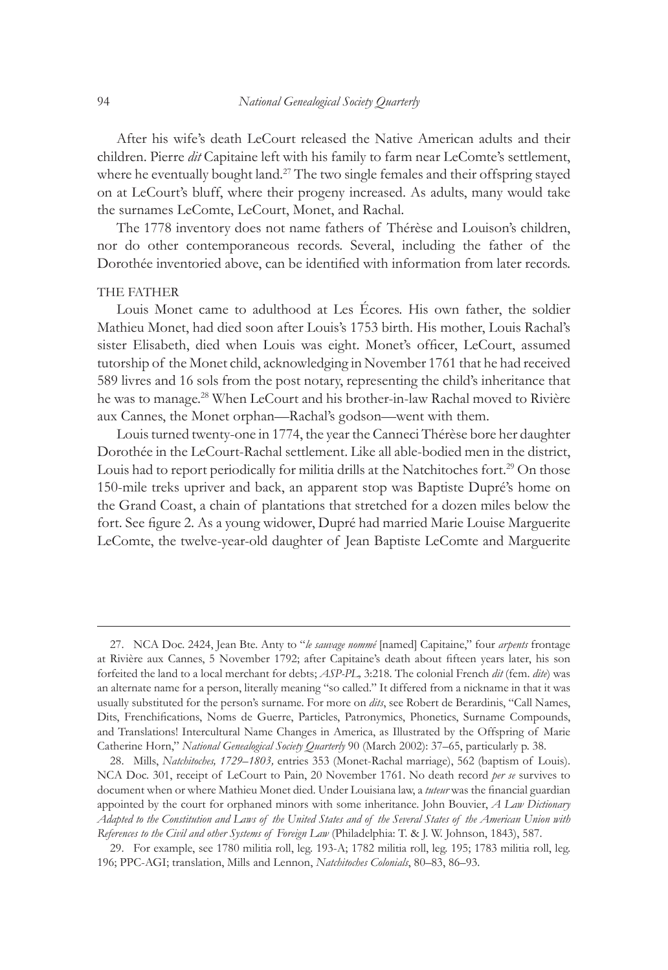After his wife's death LeCourt released the Native American adults and their children. Pierre *dit* Capitaine left with his family to farm near LeComte's settlement, where he eventually bought land.<sup>27</sup> The two single females and their offspring stayed on at LeCourt's bluff, where their progeny increased. As adults, many would take the surnames LeComte, LeCourt, Monet, and Rachal.

The 1778 inventory does not name fathers of Thérèse and Louison's children, nor do other contemporaneous records. Several, including the father of the Dorothée inventoried above, can be identified with information from later records.

#### THE FATHER

Louis Monet came to adulthood at Les Écores. His own father, the soldier Mathieu Monet, had died soon after Louis's 1753 birth. His mother, Louis Rachal's sister Elisabeth, died when Louis was eight. Monet's officer, LeCourt, assumed tutorship of the Monet child, acknowledging in November 1761 that he had received 589 livres and 16 sols from the post notary, representing the child's inheritance that he was to manage.28 When LeCourt and his brother-in-law Rachal moved to Rivière aux Cannes, the Monet orphan—Rachal's godson—went with them.

Louis turned twenty-one in 1774, the year the Canneci Thérèse bore her daughter Dorothée in the LeCourt-Rachal settlement. Like all able-bodied men in the district, Louis had to report periodically for militia drills at the Natchitoches fort.<sup>29</sup> On those 150-mile treks upriver and back, an apparent stop was Baptiste Dupré's home on the Grand Coast, a chain of plantations that stretched for a dozen miles below the fort. See figure 2. As a young widower, Dupré had married Marie Louise Marguerite LeComte, the twelve-year-old daughter of Jean Baptiste LeComte and Marguerite

<sup>27.</sup> NCA Doc. 2424, Jean Bte. Anty to "*le sauvage nommé* [named] Capitaine," four *arpents* frontage at Rivière aux Cannes, 5 November 1792; after Capitaine's death about fifteen years later, his son forfeited the land to a local merchant for debts; *ASP-PL,* 3:218. The colonial French *dit* (fem. *dite*) was an alternate name for a person, literally meaning "so called." It differed from a nickname in that it was usually substituted for the person's surname. For more on *dits*, see Robert de Berardinis, "Call Names, Dits, Frenchifications, Noms de Guerre, Particles, Patronymics, Phonetics, Surname Compounds, and Translations! Intercultural Name Changes in America, as Illustrated by the Offspring of Marie Catherine Horn," *National Genealogical Society Quarterly* 90 (March 2002): 37–65, particularly p. 38.

<sup>28.</sup> Mills, *Natchitoches, 1729–1803,* entries 353 (Monet-Rachal marriage), 562 (baptism of Louis). NCA Doc. 301, receipt of LeCourt to Pain, 20 November 1761. No death record *per se* survives to document when or where Mathieu Monet died. Under Louisiana law, a *tuteur* was the financial guardian appointed by the court for orphaned minors with some inheritance. John Bouvier, *A Law Dictionary Adapted to the Constitution and Laws of the United States and of the Several States of the American Union with References to the Civil and other Systems of Foreign Law* (Philadelphia: T. & J. W. Johnson, 1843), 587.

<sup>29.</sup> For example, see 1780 militia roll, leg. 193-A; 1782 militia roll, leg. 195; 1783 militia roll, leg. 196; PPC-AGI; translation, Mills and Lennon, *Natchitoches Colonials*, 80–83, 86–93.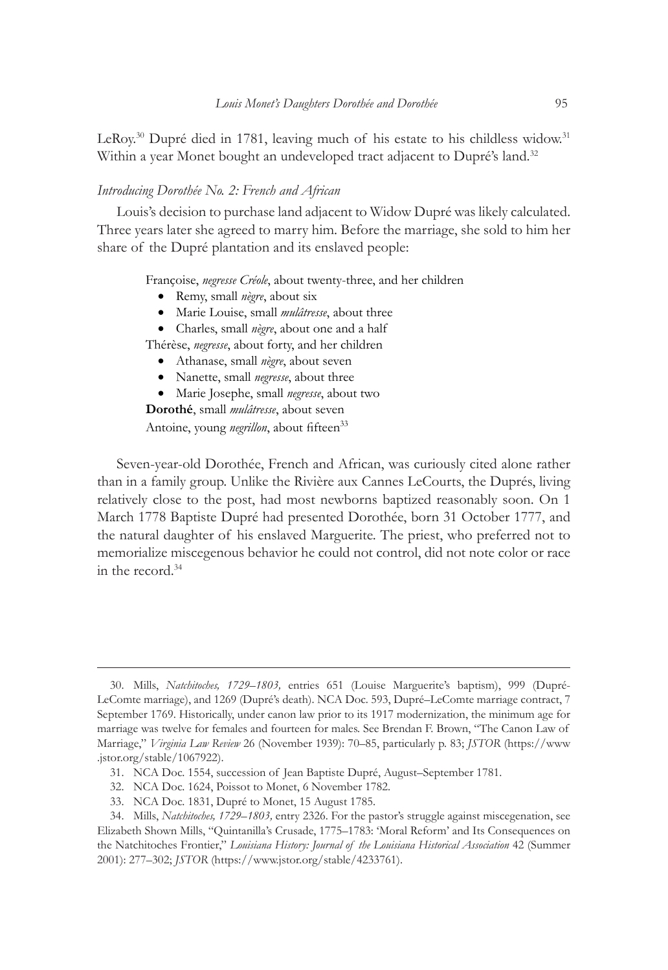LeRoy.<sup>30</sup> Dupré died in 1781, leaving much of his estate to his childless widow.<sup>31</sup> Within a year Monet bought an undeveloped tract adjacent to Dupré's land.<sup>32</sup>

#### *Introducing Dorothée No. 2: French and African*

Louis's decision to purchase land adjacent to Widow Dupré was likely calculated. Three years later she agreed to marry him. Before the marriage, she sold to him her share of the Dupré plantation and its enslaved people:

Françoise, *negresse Créole*, about twenty-three, and her children

- • Remy, small *nègre*, about six
- • Marie Louise, small *mulâtresse*, about three
- • Charles, small *nègre*, about one and a half

Thérèse, *negresse*, about forty, and her children

- • Athanase, small *nègre*, about seven
- • Nanette, small *negresse*, about three

• Marie Josephe, small *negresse*, about two

**Dorothé**, small *mulâtresse*, about seven

Antoine, young *negrillon*, about fifteen<sup>33</sup>

Seven-year-old Dorothée, French and African, was curiously cited alone rather than in a family group. Unlike the Rivière aux Cannes LeCourts, the Duprés, living relatively close to the post, had most newborns baptized reasonably soon. On 1 March 1778 Baptiste Dupré had presented Dorothée, born 31 October 1777, and the natural daughter of his enslaved Marguerite. The priest, who preferred not to memorialize miscegenous behavior he could not control, did not note color or race in the record.<sup>34</sup>

<sup>30.</sup> Mills, *Natchitoches, 1729–1803,* entries 651 (Louise Marguerite's baptism), 999 (Dupré-LeComte marriage), and 1269 (Dupré's death). NCA Doc. 593, Dupré–LeComte marriage contract, 7 September 1769. Historically, under canon law prior to its 1917 modernization, the minimum age for marriage was twelve for females and fourteen for males. See Brendan F. Brown, "The Canon Law of Marriage," *Virginia Law Review* 26 (November 1939): 70–85, particularly p. 83; *JSTOR* (https://www .jstor.org/stable/1067922).

<sup>31.</sup> NCA Doc. 1554, succession of Jean Baptiste Dupré, August–September 1781.

<sup>32.</sup> NCA Doc. 1624, Poissot to Monet, 6 November 1782.

<sup>33.</sup> NCA Doc. 1831, Dupré to Monet, 15 August 1785.

<sup>34.</sup> Mills, *Natchitoches, 1729–1803,* entry 2326. For the pastor's struggle against miscegenation, see Elizabeth Shown Mills, "Quintanilla's Crusade, 1775–1783: 'Moral Reform' and Its Consequences on the Natchitoches Frontier," *Louisiana History: Journal of the Louisiana Historical Association* 42 (Summer 2001): 277–302; *JSTOR* (https://www.jstor.org/stable/4233761).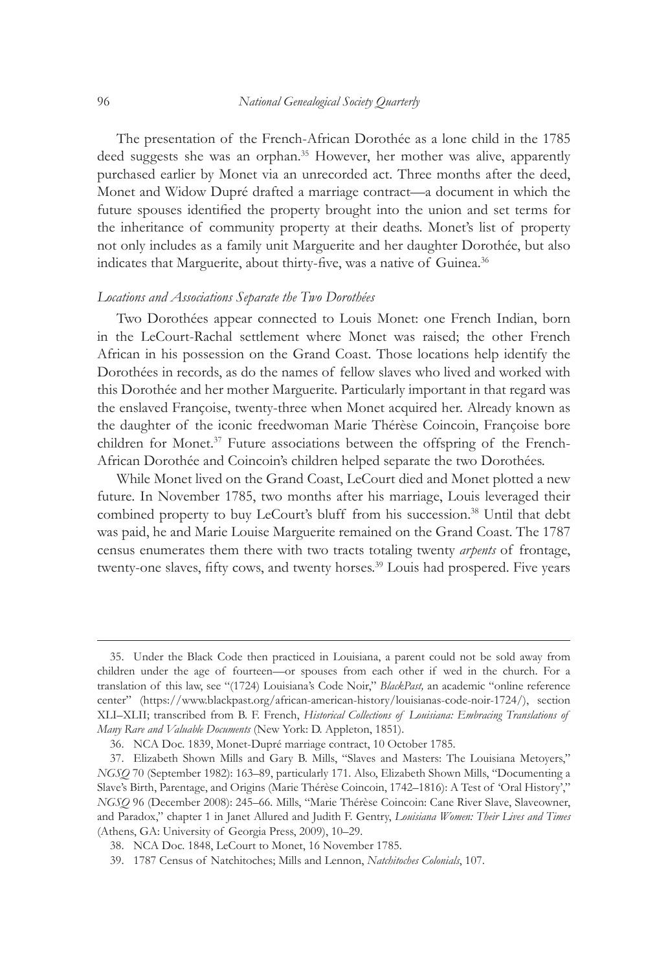The presentation of the French-African Dorothée as a lone child in the 1785 deed suggests she was an orphan.<sup>35</sup> However, her mother was alive, apparently purchased earlier by Monet via an unrecorded act. Three months after the deed, Monet and Widow Dupré drafted a marriage contract—a document in which the future spouses identified the property brought into the union and set terms for the inheritance of community property at their deaths. Monet's list of property not only includes as a family unit Marguerite and her daughter Dorothée, but also indicates that Marguerite, about thirty-five, was a native of Guinea.<sup>36</sup>

#### *Locations and Associations Separate the Two Dorothées*

Two Dorothées appear connected to Louis Monet: one French Indian, born in the LeCourt-Rachal settlement where Monet was raised; the other French African in his possession on the Grand Coast. Those locations help identify the Dorothées in records, as do the names of fellow slaves who lived and worked with this Dorothée and her mother Marguerite. Particularly important in that regard was the enslaved Françoise, twenty-three when Monet acquired her. Already known as the daughter of the iconic freedwoman Marie Thérèse Coincoin, Françoise bore children for Monet.<sup>37</sup> Future associations between the offspring of the French-African Dorothée and Coincoin's children helped separate the two Dorothées.

While Monet lived on the Grand Coast, LeCourt died and Monet plotted a new future. In November 1785, two months after his marriage, Louis leveraged their combined property to buy LeCourt's bluff from his succession.<sup>38</sup> Until that debt was paid, he and Marie Louise Marguerite remained on the Grand Coast. The 1787 census enumerates them there with two tracts totaling twenty *arpents* of frontage, twenty-one slaves, fifty cows, and twenty horses.<sup>39</sup> Louis had prospered. Five years

<sup>35.</sup> Under the Black Code then practiced in Louisiana, a parent could not be sold away from children under the age of fourteen—or spouses from each other if wed in the church. For a translation of this law, see "(1724) Louisiana's Code Noir," *BlackPast,* an academic "online reference center" (https://www.blackpast.org/african-american-history/louisianas-code-noir-1724/), section XLI–XLII; transcribed from B. F. French, *Historical Collections of Louisiana: Embracing Translations of Many Rare and Valuable Documents* (New York: D. Appleton, 1851).

<sup>36.</sup> NCA Doc. 1839, Monet-Dupré marriage contract, 10 October 1785.

<sup>37.</sup> Elizabeth Shown Mills and Gary B. Mills, "Slaves and Masters: The Louisiana Metoyers," *NGSQ* 70 (September 1982): 163–89, particularly 171. Also, Elizabeth Shown Mills, "Documenting a Slave's Birth, Parentage, and Origins (Marie Thérèse Coincoin, 1742–1816): A Test of 'Oral History'," *NGSQ* 96 (December 2008): 245–66. Mills, "Marie Thérèse Coincoin: Cane River Slave, Slaveowner, and Paradox," chapter 1 in Janet Allured and Judith F. Gentry, *Louisiana Women: Their Lives and Times* (Athens, GA: University of Georgia Press, 2009), 10–29.

<sup>38.</sup> NCA Doc. 1848, LeCourt to Monet, 16 November 1785.

<sup>39.</sup> 1787 Census of Natchitoches; Mills and Lennon, *Natchitoches Colonials*, 107.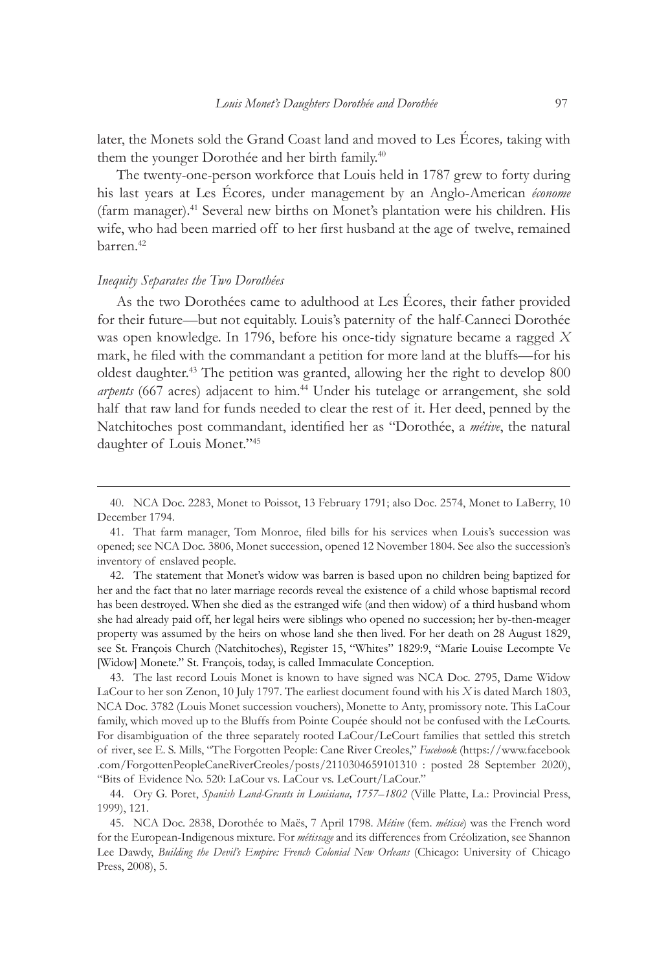later, the Monets sold the Grand Coast land and moved to Les Écores*,* taking with them the younger Dorothée and her birth family.<sup>40</sup>

The twenty-one-person workforce that Louis held in 1787 grew to forty during his last years at Les Écores*,* under management by an Anglo-American *économe* (farm manager).<sup>41</sup> Several new births on Monet's plantation were his children. His wife, who had been married off to her first husband at the age of twelve, remained barren.<sup>42</sup>

## *Inequity Separates the Two Dorothées*

As the two Dorothées came to adulthood at Les Écores, their father provided for their future—but not equitably. Louis's paternity of the half-Canneci Dorothée was open knowledge. In 1796, before his once-tidy signature became a ragged *X* mark, he filed with the commandant a petition for more land at the bluffs—for his oldest daughter.43 The petition was granted, allowing her the right to develop 800 *arpents* (667 acres) adjacent to him.44 Under his tutelage or arrangement, she sold half that raw land for funds needed to clear the rest of it. Her deed, penned by the Natchitoches post commandant, identified her as "Dorothée, a *métive*, the natural daughter of Louis Monet."45

<sup>40.</sup> NCA Doc. 2283, Monet to Poissot, 13 February 1791; also Doc. 2574, Monet to LaBerry, 10 December 1794.

<sup>41.</sup> That farm manager, Tom Monroe, filed bills for his services when Louis's succession was opened; see NCA Doc. 3806, Monet succession, opened 12 November 1804. See also the succession's inventory of enslaved people.

<sup>42.</sup> The statement that Monet's widow was barren is based upon no children being baptized for her and the fact that no later marriage records reveal the existence of a child whose baptismal record has been destroyed. When she died as the estranged wife (and then widow) of a third husband whom she had already paid off, her legal heirs were siblings who opened no succession; her by-then-meager property was assumed by the heirs on whose land she then lived. For her death on 28 August 1829, see St. François Church (Natchitoches), Register 15, "Whites" 1829:9, "Marie Louise Lecompte Ve [Widow] Monete." St. François, today, is called Immaculate Conception.

<sup>43.</sup> The last record Louis Monet is known to have signed was NCA Doc. 2795, Dame Widow LaCour to her son Zenon, 10 July 1797. The earliest document found with his *X* is dated March 1803, NCA Doc. 3782 (Louis Monet succession vouchers), Monette to Anty, promissory note. This LaCour family, which moved up to the Bluffs from Pointe Coupée should not be confused with the LeCourts. For disambiguation of the three separately rooted LaCour/LeCourt families that settled this stretch of river, see E. S. Mills, "The Forgotten People: Cane River Creoles," *Facebook* (https://www.facebook .com/ForgottenPeopleCaneRiverCreoles/posts/2110304659101310 : posted 28 September 2020), "Bits of Evidence No. 520: LaCour vs. LaCour vs. LeCourt/LaCour."

<sup>44.</sup> Ory G. Poret, *Spanish Land-Grants in Louisiana, 1757–1802* (Ville Platte, La.: Provincial Press, 1999), 121.

<sup>45.</sup> NCA Doc. 2838, Dorothée to Maës, 7 April 1798. *Métive* (fem. *métisse*) was the French word for the European-Indigenous mixture. For *métissage* and its differences from Créolization, see Shannon Lee Dawdy, *Building the Devil's Empire: French Colonial New Orleans* (Chicago: University of Chicago Press, 2008), 5.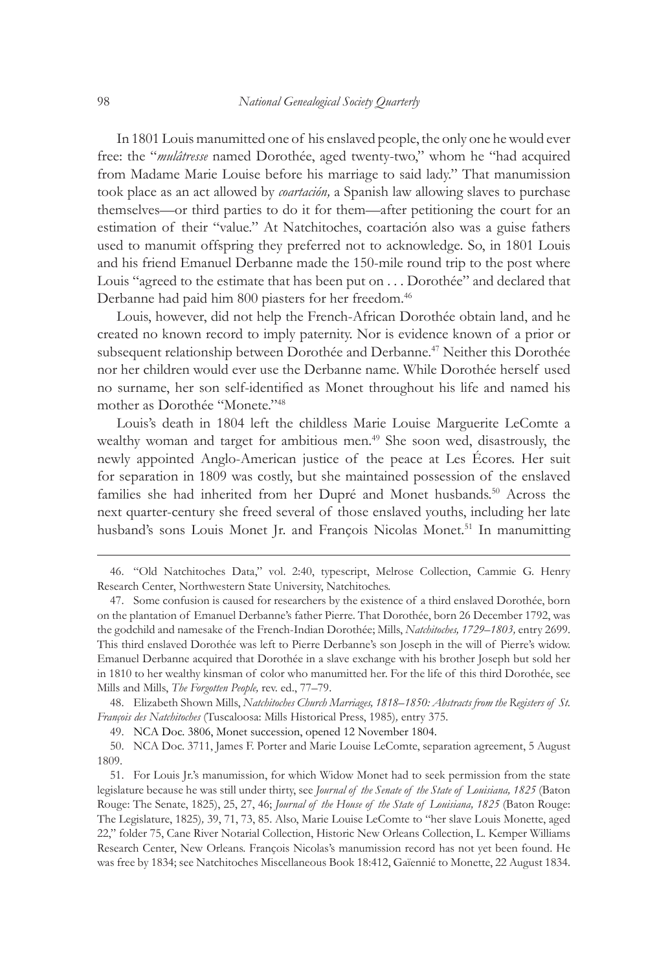In 1801 Louis manumitted one of his enslaved people, the only one he would ever free: the "*mulâtresse* named Dorothée, aged twenty-two," whom he "had acquired from Madame Marie Louise before his marriage to said lady." That manumission took place as an act allowed by *coartación,* a Spanish law allowing slaves to purchase themselves—or third parties to do it for them—after petitioning the court for an estimation of their "value." At Natchitoches, coartación also was a guise fathers used to manumit offspring they preferred not to acknowledge. So, in 1801 Louis and his friend Emanuel Derbanne made the 150-mile round trip to the post where Louis "agreed to the estimate that has been put on . . . Dorothée" and declared that Derbanne had paid him 800 piasters for her freedom.<sup>46</sup>

Louis, however, did not help the French-African Dorothée obtain land, and he created no known record to imply paternity. Nor is evidence known of a prior or subsequent relationship between Dorothée and Derbanne.<sup>47</sup> Neither this Dorothée nor her children would ever use the Derbanne name. While Dorothée herself used no surname, her son self-identified as Monet throughout his life and named his mother as Dorothée "Monete."48

Louis's death in 1804 left the childless Marie Louise Marguerite LeComte a wealthy woman and target for ambitious men.<sup>49</sup> She soon wed, disastrously, the newly appointed Anglo-American justice of the peace at Les Écores. Her suit for separation in 1809 was costly, but she maintained possession of the enslaved families she had inherited from her Dupré and Monet husbands.<sup>50</sup> Across the next quarter-century she freed several of those enslaved youths, including her late husband's sons Louis Monet Jr. and François Nicolas Monet.<sup>51</sup> In manumitting

48. Elizabeth Shown Mills, *Natchitoches Church Marriages, 1818–1850: Abstracts from the Registers of St. François des Natchitoches* (Tuscaloosa: Mills Historical Press, 1985)*,* entry 375.

49. NCA Doc. 3806, Monet succession, opened 12 November 1804.

50. NCA Doc. 3711, James F. Porter and Marie Louise LeComte, separation agreement, 5 August 1809.

51. For Louis Jr.'s manumission, for which Widow Monet had to seek permission from the state legislature because he was still under thirty, see *Journal of the Senate of the State of Louisiana, 1825* (Baton Rouge: The Senate, 1825), 25, 27, 46; *Journal of the House of the State of Louisiana, 1825* (Baton Rouge: The Legislature, 1825)*,* 39, 71, 73, 85. Also, Marie Louise LeComte to "her slave Louis Monette, aged 22," folder 75, Cane River Notarial Collection, Historic New Orleans Collection, L. Kemper Williams Research Center, New Orleans. François Nicolas's manumission record has not yet been found. He was free by 1834; see Natchitoches Miscellaneous Book 18:412, Gaïennié to Monette, 22 August 1834.

<sup>46.</sup> "Old Natchitoches Data," vol. 2:40, typescript, Melrose Collection, Cammie G. Henry Research Center, Northwestern State University, Natchitoches.

<sup>47.</sup> Some confusion is caused for researchers by the existence of a third enslaved Dorothée, born on the plantation of Emanuel Derbanne's father Pierre. That Dorothée, born 26 December 1792, was the godchild and namesake of the French-Indian Dorothée; Mills, *Natchitoches, 1729–1803,* entry 2699. This third enslaved Dorothée was left to Pierre Derbanne's son Joseph in the will of Pierre's widow. Emanuel Derbanne acquired that Dorothée in a slave exchange with his brother Joseph but sold her in 1810 to her wealthy kinsman of color who manumitted her. For the life of this third Dorothée, see Mills and Mills, *The Forgotten People,* rev. ed., 77–79.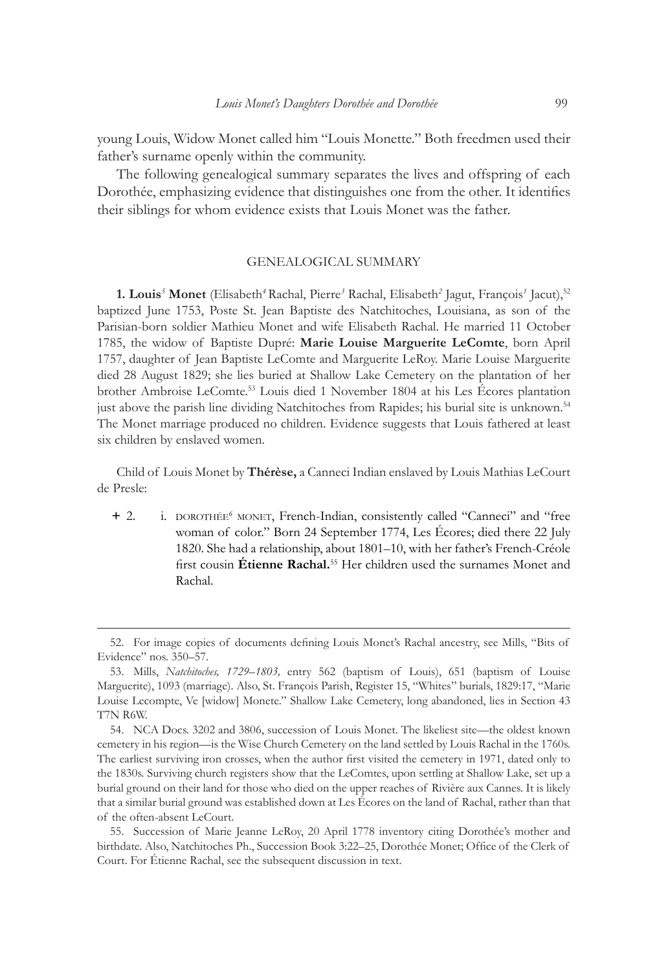young Louis, Widow Monet called him "Louis Monette." Both freedmen used their father's surname openly within the community.

The following genealogical summary separates the lives and offspring of each Dorothée, emphasizing evidence that distinguishes one from the other. It identifies their siblings for whom evidence exists that Louis Monet was the father.

### GENEALOGICAL SUMMARY

**1. Louis***<sup>5</sup>*  **Monet** (Elisabeth*<sup>4</sup>*Rachal, Pierre*<sup>3</sup>* Rachal, Elisabeth*<sup>2</sup>* Jagut, François*<sup>1</sup>* Jacut),<sup>52</sup> baptized June 1753, Poste St. Jean Baptiste des Natchitoches, Louisiana, as son of the Parisian-born soldier Mathieu Monet and wife Elisabeth Rachal. He married 11 October 1785, the widow of Baptiste Dupré: **Marie Louise Marguerite LeComte**, born April 1757, daughter of Jean Baptiste LeComte and Marguerite LeRoy. Marie Louise Marguerite died 28 August 1829; she lies buried at Shallow Lake Cemetery on the plantation of her brother Ambroise LeComte.53 Louis died 1 November 1804 at his Les Écores plantation just above the parish line dividing Natchitoches from Rapides; his burial site is unknown.<sup>54</sup> The Monet marriage produced no children. Evidence suggests that Louis fathered at least six children by enslaved women.

Child of Louis Monet by **Thérèse,** a Canneci Indian enslaved by Louis Mathias LeCourt de Presle:

**+** 2. i. dorothée*<sup>6</sup>* monet, French-Indian, consistently called "Canneci" and "free woman of color." Born 24 September 1774, Les Écores; died there 22 July 1820. She had a relationship, about 1801–10, with her father's French-Créole first cousin **Étienne Rachal.**<sup>55</sup> Her children used the surnames Monet and Rachal.

55. Succession of Marie Jeanne LeRoy, 20 April 1778 inventory citing Dorothée's mother and birthdate. Also, Natchitoches Ph., Succession Book 3:22–25, Dorothée Monet; Office of the Clerk of Court. For Étienne Rachal, see the subsequent discussion in text.

<sup>52.</sup> For image copies of documents defining Louis Monet's Rachal ancestry, see Mills, "Bits of Evidence" nos. 350–57.

<sup>53.</sup> Mills, *Natchitoches, 1729–1803,* entry 562 (baptism of Louis), 651 (baptism of Louise Marguerite), 1093 (marriage). Also, St. François Parish, Register 15, "Whites" burials, 1829:17, "Marie Louise Lecompte, Ve [widow] Monete." Shallow Lake Cemetery, long abandoned, lies in Section 43 T7N R6W.

<sup>54.</sup> NCA Docs. 3202 and 3806, succession of Louis Monet. The likeliest site—the oldest known cemetery in his region—is the Wise Church Cemetery on the land settled by Louis Rachal in the 1760s. The earliest surviving iron crosses, when the author first visited the cemetery in 1971, dated only to the 1830s. Surviving church registers show that the LeComtes, upon settling at Shallow Lake, set up a burial ground on their land for those who died on the upper reaches of Rivière aux Cannes. It is likely that a similar burial ground was established down at Les Écores on the land of Rachal, rather than that of the often-absent LeCourt.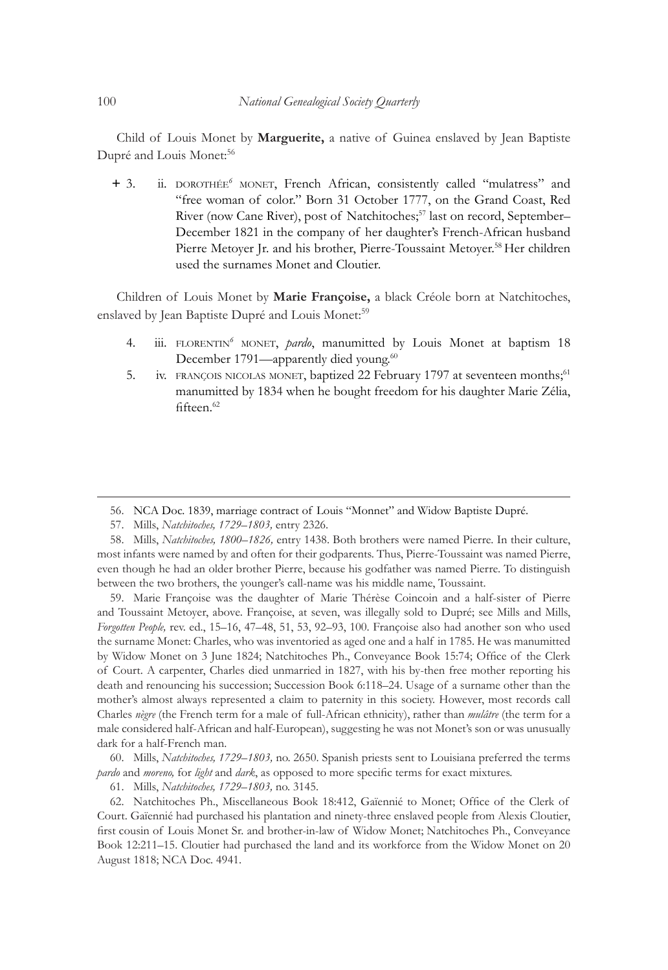Child of Louis Monet by **Marguerite,** a native of Guinea enslaved by Jean Baptiste Dupré and Louis Monet:<sup>56</sup>

**+** 3. ii. dorothée*<sup>6</sup>* monet, French African, consistently called "mulatress" and "free woman of color." Born 31 October 1777, on the Grand Coast, Red River (now Cane River), post of Natchitoches;<sup>57</sup> last on record, September-December 1821 in the company of her daughter's French-African husband Pierre Metoyer Jr. and his brother, Pierre-Toussaint Metoyer.<sup>58</sup> Her children used the surnames Monet and Cloutier.

Children of Louis Monet by **Marie Françoise,** a black Créole born at Natchitoches, enslaved by Jean Baptiste Dupré and Louis Monet:<sup>59</sup>

- 4. iii. FLORENTIN<sup>6</sup> MONET, *pardo*, manumitted by Louis Monet at baptism 18 December 1791—apparently died young.<sup>60</sup>
- 5. iv. FRANÇOIS NICOLAS MONET, baptized 22 February 1797 at seventeen months;<sup>61</sup> manumitted by 1834 when he bought freedom for his daughter Marie Zélia, fifteen.<sup>62</sup>

59. Marie Françoise was the daughter of Marie Thérèse Coincoin and a half-sister of Pierre and Toussaint Metoyer, above. Françoise, at seven, was illegally sold to Dupré; see Mills and Mills, *Forgotten People,* rev. ed., 15–16, 47–48, 51, 53, 92–93, 100. Françoise also had another son who used the surname Monet: Charles, who was inventoried as aged one and a half in 1785. He was manumitted by Widow Monet on 3 June 1824; Natchitoches Ph., Conveyance Book 15:74; Office of the Clerk of Court. A carpenter, Charles died unmarried in 1827, with his by-then free mother reporting his death and renouncing his succession; Succession Book 6:118–24. Usage of a surname other than the mother's almost always represented a claim to paternity in this society. However, most records call Charles *nègre* (the French term for a male of full-African ethnicity), rather than *mulâtre* (the term for a male considered half-African and half-European), suggesting he was not Monet's son or was unusually dark for a half-French man.

60. Mills, *Natchitoches, 1729–1803,* no. 2650. Spanish priests sent to Louisiana preferred the terms *pardo* and *moreno,* for *light* and *dark*, as opposed to more specific terms for exact mixtures.

61. Mills, *Natchitoches, 1729–1803,* no. 3145.

62. Natchitoches Ph., Miscellaneous Book 18:412, Gaïennié to Monet; Office of the Clerk of Court. Gaïennié had purchased his plantation and ninety-three enslaved people from Alexis Cloutier, first cousin of Louis Monet Sr. and brother-in-law of Widow Monet; Natchitoches Ph., Conveyance Book 12:211–15. Cloutier had purchased the land and its workforce from the Widow Monet on 20 August 1818; NCA Doc. 4941.

<sup>56.</sup> NCA Doc. 1839, marriage contract of Louis "Monnet" and Widow Baptiste Dupré.

<sup>57.</sup> Mills, *Natchitoches, 1729–1803,* entry 2326.

<sup>58.</sup> Mills, *Natchitoches, 1800–1826,* entry 1438. Both brothers were named Pierre. In their culture, most infants were named by and often for their godparents. Thus, Pierre-Toussaint was named Pierre, even though he had an older brother Pierre, because his godfather was named Pierre. To distinguish between the two brothers, the younger's call-name was his middle name, Toussaint.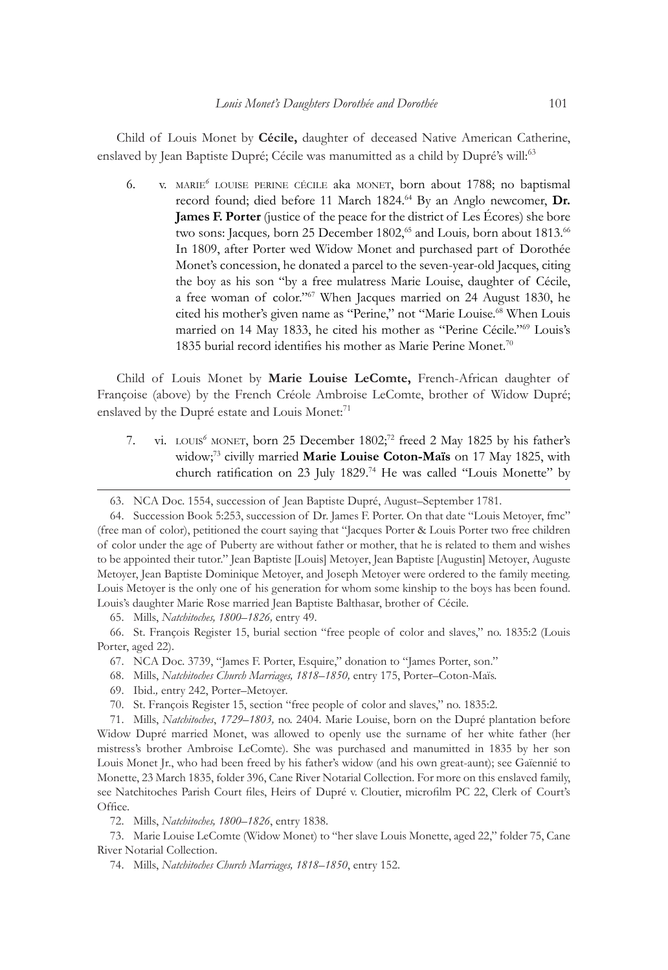Child of Louis Monet by **Cécile,** daughter of deceased Native American Catherine, enslaved by Jean Baptiste Dupré; Cécile was manumitted as a child by Dupré's will:<sup>63</sup>

6. v. marie*<sup>6</sup>* louise perine cécile aka monet, born about 1788; no baptismal record found; died before 11 March 1824.<sup>64</sup> By an Anglo newcomer, Dr. **James F. Porter** (justice of the peace for the district of Les Écores) she bore two sons: Jacques, born 25 December 1802,<sup>65</sup> and Louis, born about 1813.<sup>66</sup> In 1809, after Porter wed Widow Monet and purchased part of Dorothée Monet's concession, he donated a parcel to the seven-year-old Jacques, citing the boy as his son "by a free mulatress Marie Louise, daughter of Cécile, a free woman of color."<sup>67</sup> When Jacques married on 24 August 1830, he cited his mother's given name as "Perine," not "Marie Louise.<sup>68</sup> When Louis married on 14 May 1833, he cited his mother as "Perine Cécile."<sup>69</sup> Louis's 1835 burial record identifies his mother as Marie Perine Monet.<sup>70</sup>

Child of Louis Monet by **Marie Louise LeComte,** French-African daughter of Françoise (above) by the French Créole Ambroise LeComte, brother of Widow Dupré; enslaved by the Dupré estate and Louis Monet:<sup>71</sup>

7. vi. LOUIS<sup>6</sup> MONET, born 25 December 1802;<sup>72</sup> freed 2 May 1825 by his father's widow;73 civilly married **Marie Louise Coton-Maïs** on 17 May 1825, with church ratification on 23 July 1829.74 He was called "Louis Monette" by

65. Mills, *Natchitoches, 1800–1826,* entry 49.

<sup>63.</sup> NCA Doc. 1554, succession of Jean Baptiste Dupré, August–September 1781.

<sup>64.</sup> Succession Book 5:253, succession of Dr. James F. Porter. On that date "Louis Metoyer, fmc" (free man of color), petitioned the court saying that "Jacques Porter & Louis Porter two free children of color under the age of Puberty are without father or mother, that he is related to them and wishes to be appointed their tutor." Jean Baptiste [Louis] Metoyer, Jean Baptiste [Augustin] Metoyer, Auguste Metoyer, Jean Baptiste Dominique Metoyer, and Joseph Metoyer were ordered to the family meeting. Louis Metoyer is the only one of his generation for whom some kinship to the boys has been found. Louis's daughter Marie Rose married Jean Baptiste Balthasar, brother of Cécile.

<sup>66.</sup> St. François Register 15, burial section "free people of color and slaves," no. 1835:2 (Louis Porter, aged 22).

<sup>67.</sup> NCA Doc. 3739, "James F. Porter, Esquire," donation to "James Porter, son."

<sup>68.</sup> Mills, *Natchitoches Church Marriages, 1818–1850,* entry 175, Porter–Coton-Maïs.

<sup>69.</sup> Ibid.*,* entry 242, Porter–Metoyer.

<sup>70.</sup> St. François Register 15, section "free people of color and slaves," no. 1835:2.

<sup>71.</sup> Mills, *Natchitoches*, *1729–1803,* no. 2404. Marie Louise, born on the Dupré plantation before Widow Dupré married Monet, was allowed to openly use the surname of her white father (her mistress's brother Ambroise LeComte). She was purchased and manumitted in 1835 by her son Louis Monet Jr., who had been freed by his father's widow (and his own great-aunt); see Gaïennié to Monette, 23 March 1835, folder 396, Cane River Notarial Collection. For more on this enslaved family, see Natchitoches Parish Court files, Heirs of Dupré v. Cloutier, microfilm PC 22, Clerk of Court's Office.

<sup>72.</sup> Mills, *Natchitoches, 1800–1826*, entry 1838.

<sup>73.</sup> Marie Louise LeComte (Widow Monet) to "her slave Louis Monette, aged 22," folder 75, Cane River Notarial Collection.

<sup>74.</sup> Mills, *Natchitoches Church Marriages, 1818–1850*, entry 152.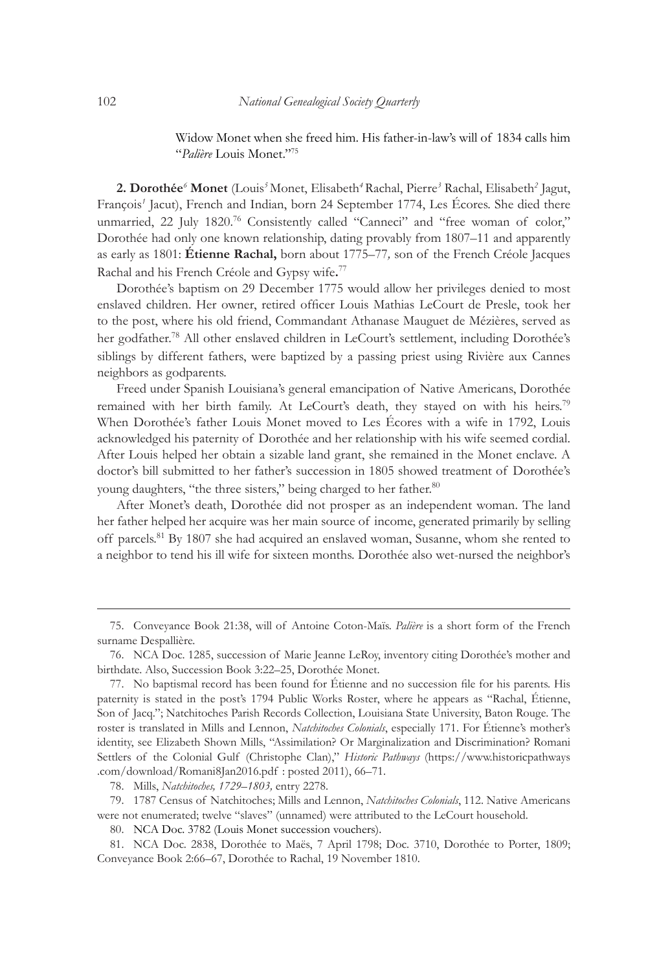Widow Monet when she freed him. His father-in-law's will of 1834 calls him "*Palière* Louis Monet."75

**2. Dorothée***<sup>6</sup>*  **Monet** (Louis*<sup>5</sup>* Monet, Elisabeth*<sup>4</sup>*Rachal, Pierre*<sup>3</sup>* Rachal, Elisabeth*<sup>2</sup>* Jagut, François*<sup>1</sup>* Jacut), French and Indian, born 24 September 1774, Les Écores. She died there unmarried, 22 July 1820.<sup>76</sup> Consistently called "Canneci" and "free woman of color," Dorothée had only one known relationship, dating provably from 1807–11 and apparently as early as 1801: **Étienne Rachal,** born about 1775–77*,* son of the French Créole Jacques Rachal and his French Créole and Gypsy wife**.** 77

Dorothée's baptism on 29 December 1775 would allow her privileges denied to most enslaved children. Her owner, retired officer Louis Mathias LeCourt de Presle, took her to the post, where his old friend, Commandant Athanase Mauguet de Mézières, served as her godfather.<sup>78</sup> All other enslaved children in LeCourt's settlement, including Dorothée's siblings by different fathers, were baptized by a passing priest using Rivière aux Cannes neighbors as godparents.

Freed under Spanish Louisiana's general emancipation of Native Americans, Dorothée remained with her birth family. At LeCourt's death, they stayed on with his heirs.<sup>79</sup> When Dorothée's father Louis Monet moved to Les Écores with a wife in 1792, Louis acknowledged his paternity of Dorothée and her relationship with his wife seemed cordial. After Louis helped her obtain a sizable land grant, she remained in the Monet enclave. A doctor's bill submitted to her father's succession in 1805 showed treatment of Dorothée's young daughters, "the three sisters," being charged to her father.<sup>80</sup>

After Monet's death, Dorothée did not prosper as an independent woman. The land her father helped her acquire was her main source of income, generated primarily by selling off parcels.<sup>81</sup> By 1807 she had acquired an enslaved woman, Susanne, whom she rented to a neighbor to tend his ill wife for sixteen months. Dorothée also wet-nursed the neighbor's

78. Mills, *Natchitoches, 1729–1803,* entry 2278.

79. 1787 Census of Natchitoches; Mills and Lennon, *Natchitoches Colonials*, 112. Native Americans were not enumerated; twelve "slaves" (unnamed) were attributed to the LeCourt household.

80. NCA Doc. 3782 (Louis Monet succession vouchers).

<sup>75.</sup> Conveyance Book 21:38, will of Antoine Coton-Maïs. *Palière* is a short form of the French surname Despallière.

<sup>76.</sup> NCA Doc. 1285, succession of Marie Jeanne LeRoy, inventory citing Dorothée's mother and birthdate. Also, Succession Book 3:22–25, Dorothée Monet.

<sup>77.</sup> No baptismal record has been found for Étienne and no succession file for his parents. His paternity is stated in the post's 1794 Public Works Roster, where he appears as "Rachal, Étienne, Son of Jacq."; Natchitoches Parish Records Collection, Louisiana State University, Baton Rouge. The roster is translated in Mills and Lennon, *Natchitoches Colonials*, especially 171. For Étienne's mother's identity, see Elizabeth Shown Mills, "Assimilation? Or Marginalization and Discrimination? Romani Settlers of the Colonial Gulf (Christophe Clan)," *Historic Pathways* (https://www.historicpathways .com/download/Romani8Jan2016.pdf : posted 2011), 66–71.

<sup>81.</sup> NCA Doc. 2838, Dorothée to Maës, 7 April 1798; Doc. 3710, Dorothée to Porter, 1809; Conveyance Book 2:66–67, Dorothée to Rachal, 19 November 1810.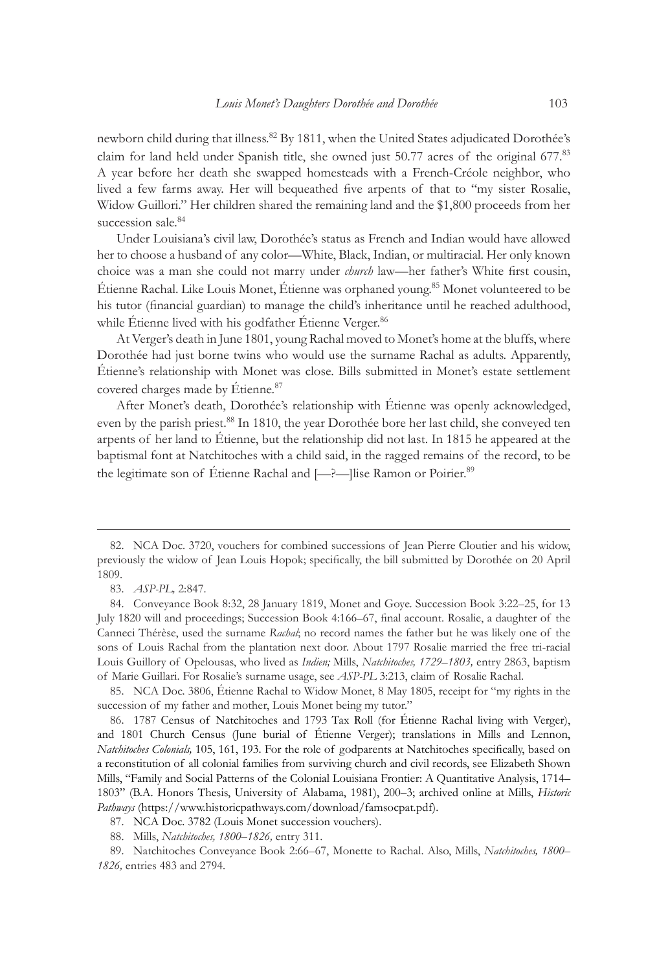newborn child during that illness.<sup>82</sup> By 1811, when the United States adjudicated Dorothée's claim for land held under Spanish title, she owned just 50.77 acres of the original 677.<sup>83</sup> A year before her death she swapped homesteads with a French-Créole neighbor, who lived a few farms away. Her will bequeathed five arpents of that to "my sister Rosalie, Widow Guillori." Her children shared the remaining land and the \$1,800 proceeds from her succession sale.<sup>84</sup>

Under Louisiana's civil law, Dorothée's status as French and Indian would have allowed her to choose a husband of any color—White, Black, Indian, or multiracial. Her only known choice was a man she could not marry under *church* law—her father's White first cousin, Étienne Rachal. Like Louis Monet, Étienne was orphaned young.85 Monet volunteered to be his tutor (financial guardian) to manage the child's inheritance until he reached adulthood, while Étienne lived with his godfather Étienne Verger.<sup>86</sup>

At Verger's death in June 1801, young Rachal moved to Monet's home at the bluffs, where Dorothée had just borne twins who would use the surname Rachal as adults. Apparently, Étienne's relationship with Monet was close. Bills submitted in Monet's estate settlement covered charges made by Étienne.<sup>87</sup>

After Monet's death, Dorothée's relationship with Étienne was openly acknowledged, even by the parish priest.<sup>88</sup> In 1810, the year Dorothée bore her last child, she conveyed ten arpents of her land to Étienne, but the relationship did not last. In 1815 he appeared at the baptismal font at Natchitoches with a child said, in the ragged remains of the record, to be the legitimate son of Étienne Rachal and [-?--]lise Ramon or Poirier.<sup>89</sup>

85. NCA Doc. 3806, Étienne Rachal to Widow Monet, 8 May 1805, receipt for "my rights in the succession of my father and mother, Louis Monet being my tutor."

86. 1787 Census of Natchitoches and 1793 Tax Roll (for Étienne Rachal living with Verger), and 1801 Church Census (June burial of Étienne Verger); translations in Mills and Lennon, *Natchitoches Colonials,* 105, 161, 193. For the role of godparents at Natchitoches specifically, based on a reconstitution of all colonial families from surviving church and civil records, see Elizabeth Shown Mills, "Family and Social Patterns of the Colonial Louisiana Frontier: A Quantitative Analysis, 1714– 1803" (B.A. Honors Thesis, University of Alabama, 1981), 200–3; archived online at Mills, *Historic Pathways* (https://www.historicpathways.com/download/famsocpat.pdf).

87. NCA Doc. 3782 (Louis Monet succession vouchers).

88. Mills, *Natchitoches, 1800–1826,* entry 311.

89. Natchitoches Conveyance Book 2:66–67, Monette to Rachal. Also, Mills, *Natchitoches, 1800– 1826,* entries 483 and 2794.

<sup>82.</sup> NCA Doc. 3720, vouchers for combined successions of Jean Pierre Cloutier and his widow, previously the widow of Jean Louis Hopok; specifically, the bill submitted by Dorothée on 20 April 1809.

<sup>83.</sup> *ASP-PL,* 2:847.

<sup>84.</sup> Conveyance Book 8:32, 28 January 1819, Monet and Goye. Succession Book 3:22–25, for 13 July 1820 will and proceedings; Succession Book 4:166–67, final account. Rosalie, a daughter of the Canneci Thérèse, used the surname *Rachal*; no record names the father but he was likely one of the sons of Louis Rachal from the plantation next door. About 1797 Rosalie married the free tri-racial Louis Guillory of Opelousas, who lived as *Indien;* Mills, *Natchitoches, 1729–1803,* entry 2863, baptism of Marie Guillari. For Rosalie's surname usage, see *ASP-PL* 3:213, claim of Rosalie Rachal.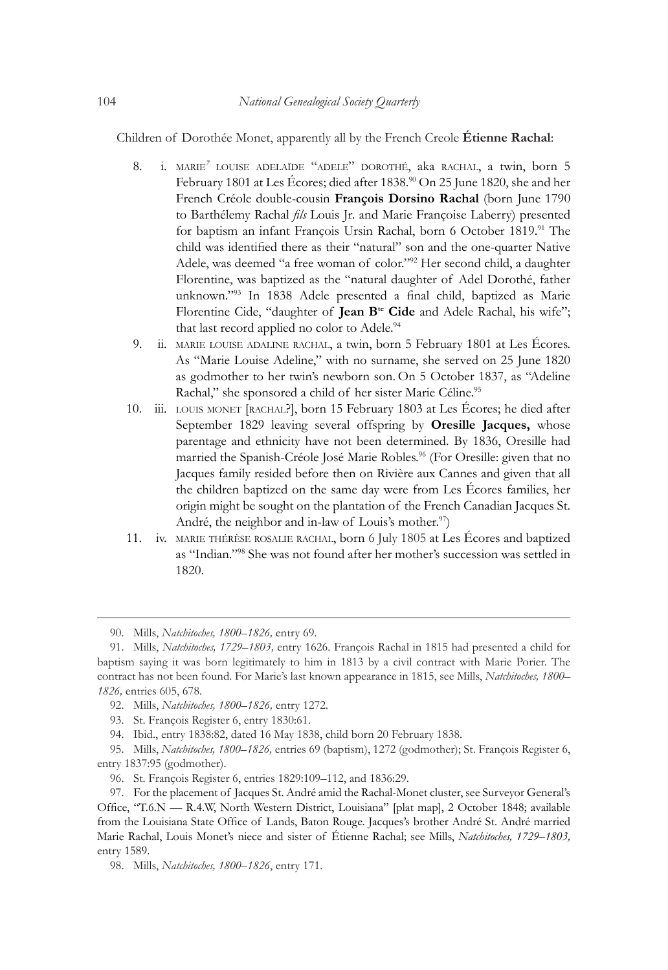Children of Dorothée Monet, apparently all by the French Creole **Étienne Rachal**:

- 8. i. marie*<sup>7</sup>* louise adelaïde "adele" dorothé, aka rachal, a twin, born 5 February 1801 at Les Écores; died after 1838.<sup>90</sup> On 25 June 1820, she and her French Créole double-cousin **François Dorsino Rachal** (born June 1790 to Barthélemy Rachal *fils* Louis Jr. and Marie Françoise Laberry) presented for baptism an infant François Ursin Rachal, born 6 October 1819.91 The child was identified there as their "natural" son and the one-quarter Native Adele, was deemed "a free woman of color."<sup>92</sup> Her second child, a daughter Florentine, was baptized as the "natural daughter of Adel Dorothé, father unknown."93 In 1838 Adele presented a final child, baptized as Marie Florentine Cide, "daughter of **Jean B<sup>te</sup> Cide** and Adele Rachal, his wife"; that last record applied no color to Adele.<sup>94</sup>
- 9. ii. marie louise adaline rachal, a twin, born 5 February 1801 at Les Écores. As "Marie Louise Adeline," with no surname, she served on 25 June 1820 as godmother to her twin's newborn son. On 5 October 1837, as "Adeline Rachal," she sponsored a child of her sister Marie Céline.95
- 10. iii. louis monet [rachal?], born 15 February 1803 at Les Écores; he died after September 1829 leaving several offspring by **Oresille Jacques,** whose parentage and ethnicity have not been determined. By 1836, Oresille had married the Spanish-Créole José Marie Robles.<sup>96</sup> (For Oresille: given that no Jacques family resided before then on Rivière aux Cannes and given that all the children baptized on the same day were from Les Écores families, her origin might be sought on the plantation of the French Canadian Jacques St. André, the neighbor and in-law of Louis's mother.<sup>97</sup>)
- 11. iv. marie thérèse rosalie rachal, born 6 July 1805 at Les Écores and baptized as "Indian."<sup>98</sup> She was not found after her mother's succession was settled in 1820.

<sup>90.</sup> Mills, *Natchitoches, 1800–1826,* entry 69.

<sup>91.</sup> Mills, *Natchitoches, 1729–1803,* entry 1626. François Rachal in 1815 had presented a child for baptism saying it was born legitimately to him in 1813 by a civil contract with Marie Porier. The contract has not been found. For Marie's last known appearance in 1815, see Mills, *Natchitoches, 1800– 1826,* entries 605, 678.

<sup>92.</sup> Mills, *Natchitoches, 1800–1826,* entry 1272.

<sup>93.</sup> St. François Register 6, entry 1830:61.

<sup>94.</sup> Ibid., entry 1838:82, dated 16 May 1838, child born 20 February 1838.

<sup>95.</sup> Mills, *Natchitoches, 1800–1826,* entries 69 (baptism), 1272 (godmother); St. François Register 6, entry 1837:95 (godmother).

<sup>96.</sup> St. François Register 6, entries 1829:109–112, and 1836:29.

<sup>97.</sup> For the placement of Jacques St. André amid the Rachal-Monet cluster, see Surveyor General's Office, "T.6.N — R.4.W, North Western District, Louisiana" [plat map], 2 October 1848; available from the Louisiana State Office of Lands, Baton Rouge. Jacques's brother André St. André married Marie Rachal, Louis Monet's niece and sister of Étienne Rachal; see Mills, *Natchitoches, 1729–1803,* entry 1589.

<sup>98.</sup> Mills, *Natchitoches, 1800–1826*, entry 171.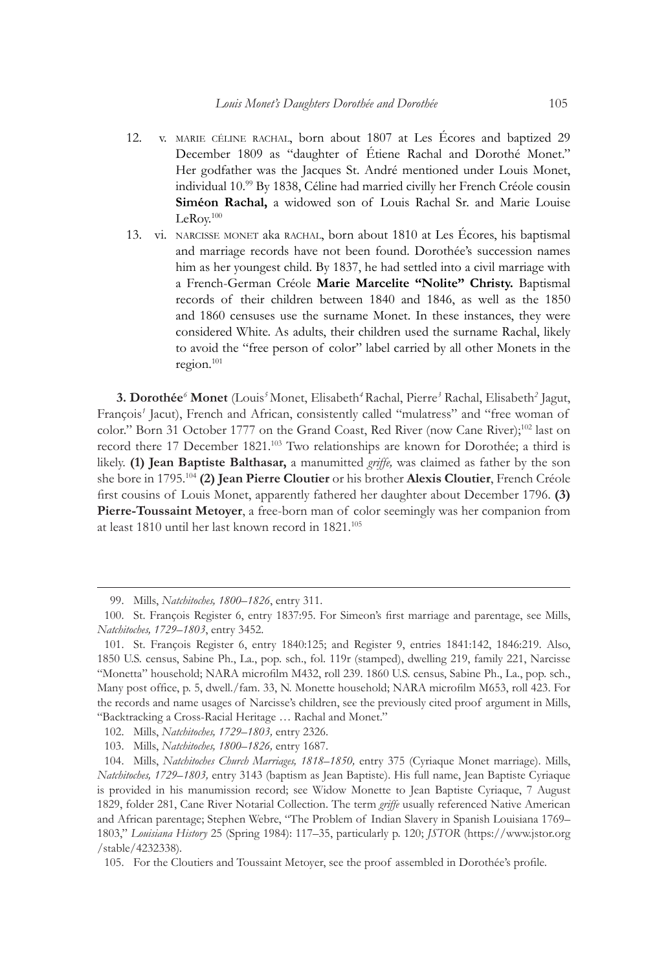- 12. v. marie céline rachal, born about 1807 at Les Écores and baptized 29 December 1809 as "daughter of Étiene Rachal and Dorothé Monet." Her godfather was the Jacques St. André mentioned under Louis Monet, individual 10.<sup>99</sup> By 1838, Céline had married civilly her French Créole cousin **Siméon Rachal,** a widowed son of Louis Rachal Sr. and Marie Louise LeRoy.100
- 13. vi. narcisse monet aka rachal, born about 1810 at Les Écores, his baptismal and marriage records have not been found. Dorothée's succession names him as her youngest child. By 1837, he had settled into a civil marriage with a French-German Créole **Marie Marcelite "Nolite" Christy.** Baptismal records of their children between 1840 and 1846, as well as the 1850 and 1860 censuses use the surname Monet. In these instances, they were considered White. As adults, their children used the surname Rachal, likely to avoid the "free person of color" label carried by all other Monets in the region.101

**3. Dorothée***<sup>6</sup>*  **Monet** (Louis*<sup>5</sup>* Monet, Elisabeth*<sup>4</sup>*Rachal, Pierre*<sup>3</sup>* Rachal, Elisabeth*<sup>2</sup>* Jagut, François<sup>1</sup> Jacut), French and African, consistently called "mulatress" and "free woman of color." Born 31 October 1777 on the Grand Coast, Red River (now Cane River);<sup>102</sup> last on record there 17 December 1821.<sup>103</sup> Two relationships are known for Dorothée; a third is likely. **(1) Jean Baptiste Balthasar,** a manumitted *griffe,* was claimed as father by the son she bore in 1795.<sup>104</sup> **(2) Jean Pierre Cloutier** or his brother **Alexis Cloutier**, French Créole first cousins of Louis Monet, apparently fathered her daughter about December 1796. **(3) Pierre-Toussaint Metoyer**, a free-born man of color seemingly was her companion from at least 1810 until her last known record in 1821.105

<sup>99.</sup> Mills, *Natchitoches, 1800–1826*, entry 311.

<sup>100.</sup> St. François Register 6, entry 1837:95. For Simeon's first marriage and parentage, see Mills, *Natchitoches, 1729–1803*, entry 3452.

<sup>101.</sup> St. François Register 6, entry 1840:125; and Register 9, entries 1841:142, 1846:219. Also, 1850 U.S. census, Sabine Ph., La., pop. sch., fol. 119r (stamped), dwelling 219, family 221, Narcisse "Monetta" household; NARA microfilm M432, roll 239. 1860 U.S. census, Sabine Ph., La., pop. sch., Many post office, p. 5, dwell./fam. 33, N. Monette household; NARA microfilm M653, roll 423. For the records and name usages of Narcisse's children, see the previously cited proof argument in Mills, "Backtracking a Cross-Racial Heritage … Rachal and Monet."

<sup>102.</sup> Mills, *Natchitoches, 1729–1803,* entry 2326.

<sup>103.</sup> Mills, *Natchitoches, 1800–1826,* entry 1687.

<sup>104.</sup> Mills, *Natchitoches Church Marriages, 1818–1850,* entry 375 (Cyriaque Monet marriage). Mills, *Natchitoches, 1729–1803,* entry 3143 (baptism as Jean Baptiste). His full name, Jean Baptiste Cyriaque is provided in his manumission record; see Widow Monette to Jean Baptiste Cyriaque, 7 August 1829, folder 281, Cane River Notarial Collection. The term *griffe* usually referenced Native American and African parentage; Stephen Webre, "The Problem of Indian Slavery in Spanish Louisiana 1769– 1803," *Louisiana History* 25 (Spring 1984): 117–35, particularly p. 120; *JSTOR* (https://www.jstor.org /stable/4232338)*.*

<sup>105.</sup> For the Cloutiers and Toussaint Metoyer, see the proof assembled in Dorothée's profile.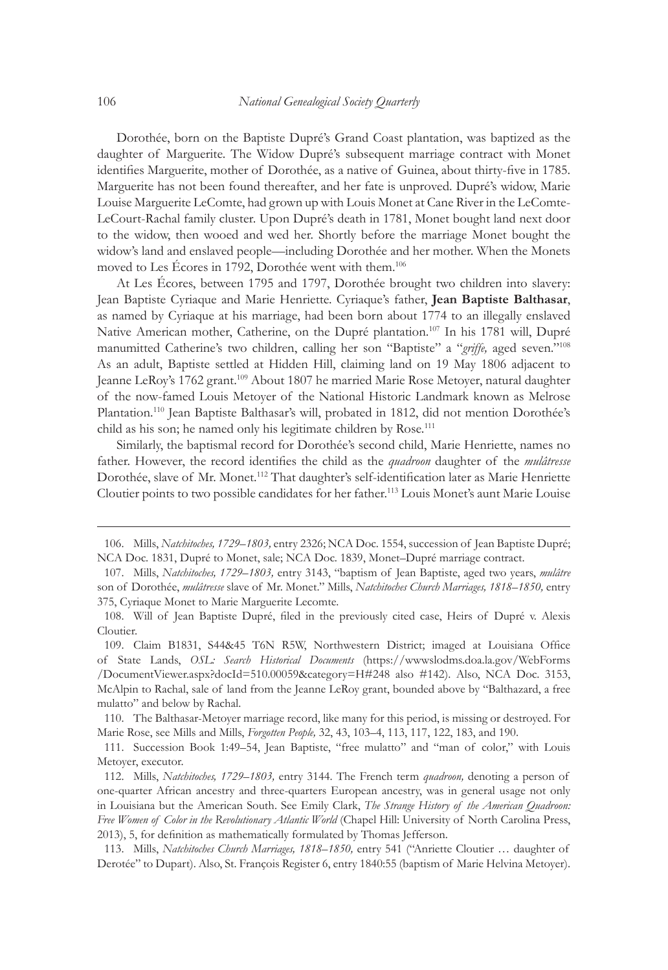Dorothée, born on the Baptiste Dupré's Grand Coast plantation, was baptized as the daughter of Marguerite. The Widow Dupré's subsequent marriage contract with Monet identifies Marguerite, mother of Dorothée, as a native of Guinea, about thirty-five in 1785. Marguerite has not been found thereafter, and her fate is unproved. Dupré's widow, Marie Louise Marguerite LeComte, had grown up with Louis Monet at Cane River in the LeComte-LeCourt-Rachal family cluster. Upon Dupré's death in 1781, Monet bought land next door to the widow, then wooed and wed her. Shortly before the marriage Monet bought the widow's land and enslaved people—including Dorothée and her mother. When the Monets moved to Les Écores in 1792, Dorothée went with them.106

At Les Écores, between 1795 and 1797, Dorothée brought two children into slavery: Jean Baptiste Cyriaque and Marie Henriette. Cyriaque's father, **Jean Baptiste Balthasar**, as named by Cyriaque at his marriage, had been born about 1774 to an illegally enslaved Native American mother, Catherine, on the Dupré plantation.<sup>107</sup> In his 1781 will, Dupré manumitted Catherine's two children, calling her son "Baptiste" a "*griffe,* aged seven."108 As an adult, Baptiste settled at Hidden Hill, claiming land on 19 May 1806 adjacent to Jeanne LeRoy's 1762 grant.<sup>109</sup> About 1807 he married Marie Rose Metoyer, natural daughter of the now-famed Louis Metoyer of the National Historic Landmark known as Melrose Plantation.110 Jean Baptiste Balthasar's will, probated in 1812, did not mention Dorothée's child as his son; he named only his legitimate children by Rose.<sup>111</sup>

Similarly, the baptismal record for Dorothée's second child, Marie Henriette, names no father. However, the record identifies the child as the *quadroon* daughter of the *mulâtresse* Dorothée, slave of Mr. Monet.112 That daughter's self-identification later as Marie Henriette Cloutier points to two possible candidates for her father.113 Louis Monet's aunt Marie Louise

110. The Balthasar-Metoyer marriage record, like many for this period, is missing or destroyed. For Marie Rose, see Mills and Mills, *Forgotten People,* 32, 43, 103–4, 113, 117, 122, 183, and 190.

111. Succession Book 1:49–54, Jean Baptiste, "free mulatto" and "man of color," with Louis Metoyer, executor.

113. Mills, *Natchitoches Church Marriages, 1818–1850,* entry 541 ("Anriette Cloutier … daughter of Derotée" to Dupart). Also, St. François Register 6, entry 1840:55 (baptism of Marie Helvina Metoyer).

<sup>106.</sup> Mills, *Natchitoches, 1729–1803,* entry 2326; NCA Doc. 1554, succession of Jean Baptiste Dupré; NCA Doc. 1831, Dupré to Monet, sale; NCA Doc. 1839, Monet–Dupré marriage contract.

<sup>107.</sup> Mills, *Natchitoches, 1729–1803,* entry 3143, "baptism of Jean Baptiste, aged two years, *mulâtre* son of Dorothée, *mulâtresse* slave of Mr. Monet." Mills, *Natchitoches Church Marriages, 1818–1850,* entry 375, Cyriaque Monet to Marie Marguerite Lecomte.

<sup>108.</sup> Will of Jean Baptiste Dupré, filed in the previously cited case, Heirs of Dupré v. Alexis Cloutier.

<sup>109.</sup> Claim B1831, S44&45 T6N R5W, Northwestern District; imaged at Louisiana Office of State Lands, *OSL: Search Historical Documents* (https://wwwslodms.doa.la.gov/WebForms /DocumentViewer.aspx?docId=510.00059&category=H#248 also #142). Also, NCA Doc. 3153, McAlpin to Rachal, sale of land from the Jeanne LeRoy grant, bounded above by "Balthazard, a free mulatto" and below by Rachal.

<sup>112.</sup> Mills, *Natchitoches, 1729–1803,* entry 3144. The French term *quadroon,* denoting a person of one-quarter African ancestry and three-quarters European ancestry, was in general usage not only in Louisiana but the American South. See Emily Clark, *The Strange History of the American Quadroon: Free Women of Color in the Revolutionary Atlantic World* (Chapel Hill: University of North Carolina Press, 2013), 5, for definition as mathematically formulated by Thomas Jefferson.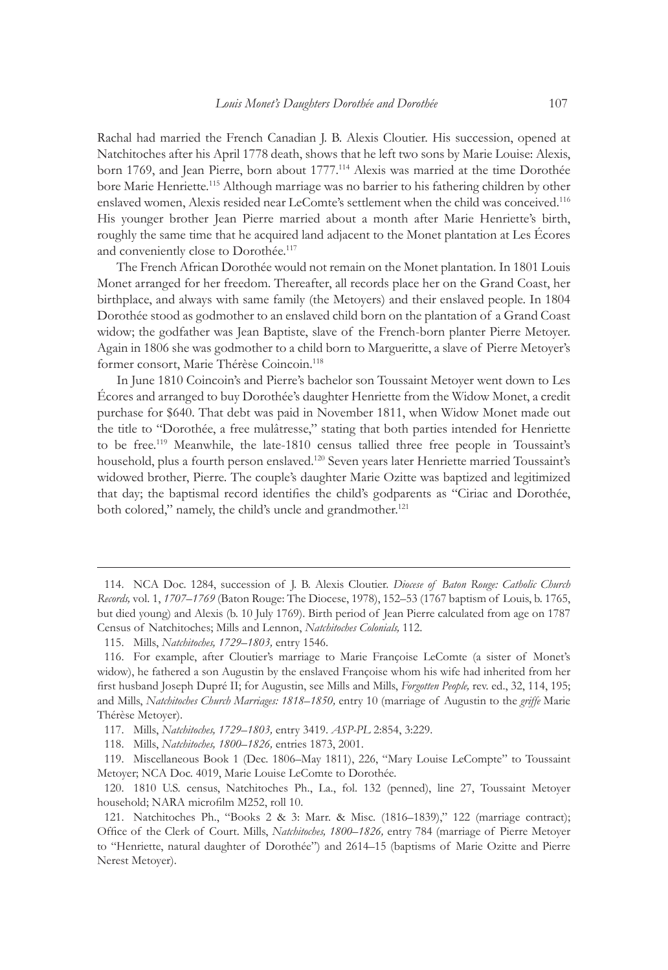Rachal had married the French Canadian J. B. Alexis Cloutier. His succession, opened at Natchitoches after his April 1778 death, shows that he left two sons by Marie Louise: Alexis, born 1769, and Jean Pierre, born about 1777.<sup>114</sup> Alexis was married at the time Dorothée bore Marie Henriette.115 Although marriage was no barrier to his fathering children by other enslaved women, Alexis resided near LeComte's settlement when the child was conceived.116 His younger brother Jean Pierre married about a month after Marie Henriette's birth, roughly the same time that he acquired land adjacent to the Monet plantation at Les Écores and conveniently close to Dorothée.117

The French African Dorothée would not remain on the Monet plantation. In 1801 Louis Monet arranged for her freedom. Thereafter, all records place her on the Grand Coast, her birthplace, and always with same family (the Metoyers) and their enslaved people. In 1804 Dorothée stood as godmother to an enslaved child born on the plantation of a Grand Coast widow; the godfather was Jean Baptiste, slave of the French-born planter Pierre Metoyer. Again in 1806 she was godmother to a child born to Margueritte, a slave of Pierre Metoyer's former consort, Marie Thérèse Coincoin.<sup>118</sup>

In June 1810 Coincoin's and Pierre's bachelor son Toussaint Metoyer went down to Les Écores and arranged to buy Dorothée's daughter Henriette from the Widow Monet, a credit purchase for \$640. That debt was paid in November 1811, when Widow Monet made out the title to "Dorothée, a free mulâtresse," stating that both parties intended for Henriette to be free.<sup>119</sup> Meanwhile, the late-1810 census tallied three free people in Toussaint's household, plus a fourth person enslaved.120 Seven years later Henriette married Toussaint's widowed brother, Pierre. The couple's daughter Marie Ozitte was baptized and legitimized that day; the baptismal record identifies the child's godparents as "Ciriac and Dorothée, both colored," namely, the child's uncle and grandmother.<sup>121</sup>

<sup>114.</sup> NCA Doc. 1284, succession of J. B. Alexis Cloutier. *Diocese of Baton Rouge: Catholic Church Records,* vol. 1, *1707–1769* (Baton Rouge: The Diocese, 1978), 152–53 (1767 baptism of Louis, b. 1765, but died young) and Alexis (b. 10 July 1769). Birth period of Jean Pierre calculated from age on 1787 Census of Natchitoches; Mills and Lennon, *Natchitoches Colonials,* 112.

<sup>115.</sup> Mills, *Natchitoches, 1729–1803,* entry 1546.

<sup>116.</sup> For example, after Cloutier's marriage to Marie Françoise LeComte (a sister of Monet's widow), he fathered a son Augustin by the enslaved Françoise whom his wife had inherited from her first husband Joseph Dupré II; for Augustin, see Mills and Mills, *Forgotten People,* rev. ed., 32, 114, 195; and Mills, *Natchitoches Church Marriages: 1818–1850,* entry 10 (marriage of Augustin to the *griffe* Marie Thérèse Metoyer).

<sup>117.</sup> Mills, *Natchitoches, 1729–1803,* entry 3419. *ASP-PL* 2:854, 3:229.

<sup>118.</sup> Mills, *Natchitoches, 1800–1826,* entries 1873, 2001.

<sup>119.</sup> Miscellaneous Book 1 (Dec. 1806–May 1811), 226, "Mary Louise LeCompte" to Toussaint Metoyer; NCA Doc. 4019, Marie Louise LeComte to Dorothée.

<sup>120.</sup> 1810 U.S. census, Natchitoches Ph., La., fol. 132 (penned), line 27, Toussaint Metoyer household; NARA microfilm M252, roll 10.

<sup>121.</sup> Natchitoches Ph., "Books 2 & 3: Marr. & Misc. (1816–1839)," 122 (marriage contract); Office of the Clerk of Court. Mills, *Natchitoches, 1800–1826,* entry 784 (marriage of Pierre Metoyer to "Henriette, natural daughter of Dorothée") and 2614–15 (baptisms of Marie Ozitte and Pierre Nerest Metoyer).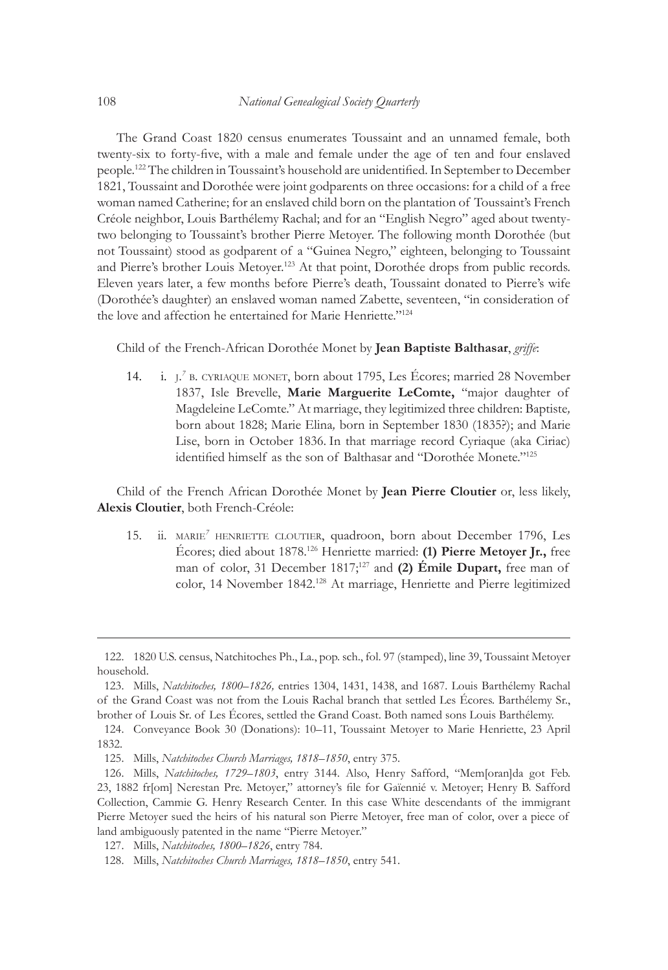The Grand Coast 1820 census enumerates Toussaint and an unnamed female, both twenty-six to forty-five, with a male and female under the age of ten and four enslaved people.122 The children in Toussaint's household are unidentified. In September to December 1821, Toussaint and Dorothée were joint godparents on three occasions: for a child of a free woman named Catherine; for an enslaved child born on the plantation of Toussaint's French Créole neighbor, Louis Barthélemy Rachal; and for an "English Negro" aged about twentytwo belonging to Toussaint's brother Pierre Metoyer. The following month Dorothée (but not Toussaint) stood as godparent of a "Guinea Negro," eighteen, belonging to Toussaint and Pierre's brother Louis Metoyer.<sup>123</sup> At that point, Dorothée drops from public records. Eleven years later, a few months before Pierre's death, Toussaint donated to Pierre's wife (Dorothée's daughter) an enslaved woman named Zabette, seventeen, "in consideration of the love and affection he entertained for Marie Henriette."<sup>124</sup>

Child of the French-African Dorothée Monet by **Jean Baptiste Balthasar**, *griffe*:

14. i. j. *<sup>7</sup>* b. cyriaque monet, born about 1795, Les Écores; married 28 November 1837, Isle Brevelle, **Marie Marguerite LeComte,** "major daughter of Magdeleine LeComte." At marriage, they legitimized three children: Baptiste*,* born about 1828; Marie Elina*,* born in September 1830 (1835?); and Marie Lise, born in October 1836. In that marriage record Cyriaque (aka Ciriac) identified himself as the son of Balthasar and "Dorothée Monete."<sup>125</sup>

Child of the French African Dorothée Monet by **Jean Pierre Cloutier** or, less likely, **Alexis Cloutier**, both French-Créole:

15. ii. marie*<sup>7</sup>* henriette cloutier, quadroon, born about December 1796, Les Écores; died about 1878.126 Henriette married: **(1) Pierre Metoyer Jr.,** free man of color, 31 December 1817;127 and **(2) Émile Dupart,** free man of color, 14 November 1842.<sup>128</sup> At marriage, Henriette and Pierre legitimized

<sup>122.</sup> 1820 U.S. census, Natchitoches Ph., La., pop. sch., fol. 97 (stamped), line 39, Toussaint Metoyer household.

<sup>123.</sup> Mills, *Natchitoches, 1800–1826,* entries 1304, 1431, 1438, and 1687. Louis Barthélemy Rachal of the Grand Coast was not from the Louis Rachal branch that settled Les Écores. Barthélemy Sr., brother of Louis Sr. of Les Écores, settled the Grand Coast. Both named sons Louis Barthélemy.

<sup>124.</sup> Conveyance Book 30 (Donations): 10–11, Toussaint Metoyer to Marie Henriette, 23 April 1832.

<sup>125.</sup> Mills, *Natchitoches Church Marriages, 1818–1850*, entry 375.

<sup>126.</sup> Mills, *Natchitoches, 1729–1803*, entry 3144. Also, Henry Safford, "Mem[oran]da got Feb. 23, 1882 fr[om] Nerestan Pre. Metoyer," attorney's file for Gaïennié v. Metoyer; Henry B. Safford Collection, Cammie G. Henry Research Center. In this case White descendants of the immigrant Pierre Metoyer sued the heirs of his natural son Pierre Metoyer, free man of color, over a piece of land ambiguously patented in the name "Pierre Metoyer."

<sup>127.</sup> Mills, *Natchitoches, 1800–1826*, entry 784.

<sup>128.</sup> Mills, *Natchitoches Church Marriages, 1818–1850*, entry 541.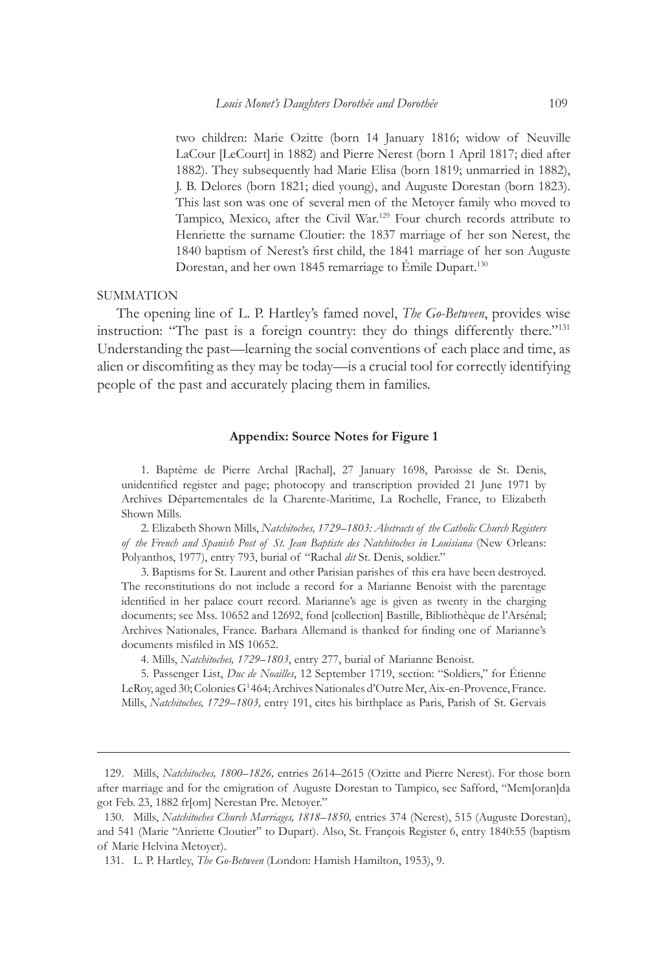two children: Marie Ozitte (born 14 January 1816; widow of Neuville LaCour [LeCourt] in 1882) and Pierre Nerest (born 1 April 1817; died after 1882). They subsequently had Marie Elisa (born 1819; unmarried in 1882), J. B. Delores (born 1821; died young), and Auguste Dorestan (born 1823). This last son was one of several men of the Metoyer family who moved to Tampico, Mexico, after the Civil War.129 Four church records attribute to Henriette the surname Cloutier: the 1837 marriage of her son Nerest, the 1840 baptism of Nerest's first child, the 1841 marriage of her son Auguste Dorestan, and her own 1845 remarriage to Emile Dupart.<sup>130</sup>

#### SUMMATION

The opening line of L. P. Hartley's famed novel, *The Go-Between*, provides wise instruction: "The past is a foreign country: they do things differently there."131 Understanding the past—learning the social conventions of each place and time, as alien or discomfiting as they may be today—is a crucial tool for correctly identifying people of the past and accurately placing them in families.

#### **Appendix: Source Notes for Figure 1**

1. Baptême de Pierre Archal [Rachal], 27 January 1698, Paroisse de St. Denis, unidentified register and page; photocopy and transcription provided 21 June 1971 by Archives Départementales de la Charente-Maritime, La Rochelle, France, to Elizabeth Shown Mills.

2. Elizabeth Shown Mills, *Natchitoches, 1729–1803: Abstracts of the Catholic Church Registers of the French and Spanish Post of St. Jean Baptiste des Natchitoches in Louisiana* (New Orleans: Polyanthos, 1977), entry 793, burial of "Rachal *dit* St. Denis, soldier."

3. Baptisms for St. Laurent and other Parisian parishes of this era have been destroyed. The reconstitutions do not include a record for a Marianne Benoist with the parentage identified in her palace court record. Marianne's age is given as twenty in the charging documents; see Mss. 10652 and 12692, fond [collection] Bastille, Bibliothèque de l'Arsénal; Archives Nationales, France. Barbara Allemand is thanked for finding one of Marianne's documents misfiled in MS 10652.

4. Mills, *Natchitoches, 1729–1803*, entry 277, burial of Marianne Benoist.

5. Passenger List, *Duc de Noailles*, 12 September 1719, section: "Soldiers," for Étienne LeRoy, aged 30; Colonies G<sup>1</sup>464; Archives Nationales d'Outre Mer, Aix-en-Provence, France. Mills, *Natchitoches, 1729–1803,* entry 191, cites his birthplace as Paris, Parish of St. Gervais

<sup>129.</sup> Mills, *Natchitoches, 1800–1826,* entries 2614–2615 (Ozitte and Pierre Nerest). For those born after marriage and for the emigration of Auguste Dorestan to Tampico, see Safford, "Mem[oran]da got Feb. 23, 1882 fr[om] Nerestan Pre. Metoyer."

<sup>130.</sup> Mills, *Natchitoches Church Marriages, 1818–1850,* entries 374 (Nerest), 515 (Auguste Dorestan), and 541 (Marie "Anriette Cloutier" to Dupart). Also, St. François Register 6, entry 1840:55 (baptism of Marie Helvina Metoyer).

<sup>131.</sup> L. P. Hartley, *The Go-Between* (London: Hamish Hamilton, 1953), 9.